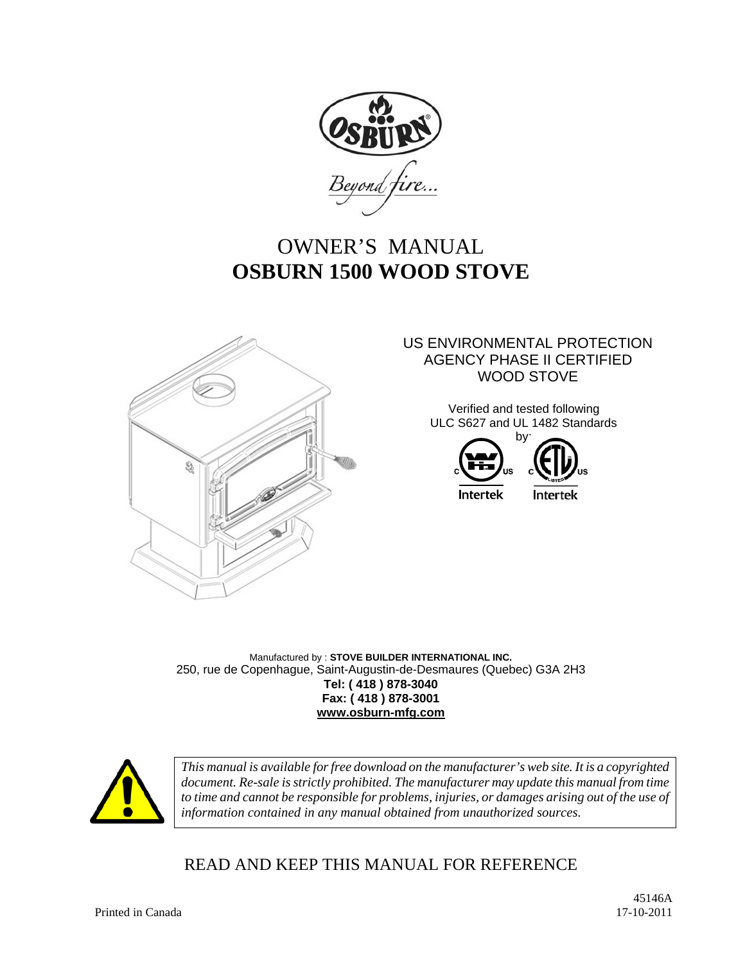

# OWNER'S MANUAL **OSBURN 1500 WOOD STOVE**



#### US ENVIRONMENTAL PROTECTION AGENCY PHASE II CERTIFIED WOOD STOVE

Verified and tested following ULC S627 and UL 1482 Standards



Manufactured by : **STOVE BUILDER INTERNATIONAL INC.** 250, rue de Copenhague, Saint-Augustin-de-Desmaures (Quebec) G3A 2H3 **Tel: ( 418 ) 878-3040 Fax: ( 418 ) 878-3001 www.osburn-mfg.com**



*This manual is available for free download on the manufacturer's web site. It is a copyrighted document. Re-sale is strictly prohibited. The manufacturer may update this manual from time*  to time and cannot be responsible for problems, injuries, or damages arising out of the use of *information contained in any manual obtained from unauthorized sources.* 

# READ AND KEEP THIS MANUAL FOR REFERENCE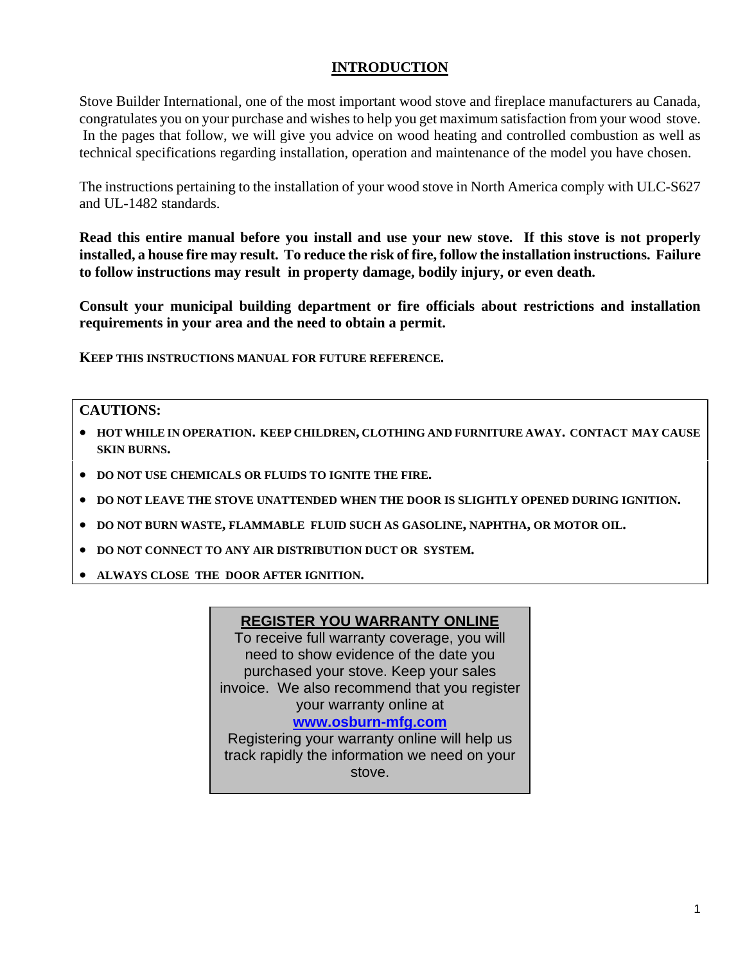#### **INTRODUCTION**

Stove Builder International, one of the most important wood stove and fireplace manufacturers au Canada, congratulates you on your purchase and wishes to help you get maximum satisfaction from your wood stove. In the pages that follow, we will give you advice on wood heating and controlled combustion as well as technical specifications regarding installation, operation and maintenance of the model you have chosen.

The instructions pertaining to the installation of your wood stove in North America comply with ULC-S627 and UL-1482 standards.

**Read this entire manual before you install and use your new stove. If this stove is not properly installed, a house fire may result. To reduce the risk of fire, follow the installation instructions. Failure to follow instructions may result in property damage, bodily injury, or even death.** 

**Consult your municipal building department or fire officials about restrictions and installation requirements in your area and the need to obtain a permit.** 

**KEEP THIS INSTRUCTIONS MANUAL FOR FUTURE REFERENCE.** 

#### **CAUTIONS:**

- **HOT WHILE IN OPERATION. KEEP CHILDREN, CLOTHING AND FURNITURE AWAY. CONTACT MAY CAUSE SKIN BURNS.**
- $\bullet$  DO NOT USE CHEMICALS OR FLUIDS TO IGNITE THE FIRE.
- **DO NOT LEAVE THE STOVE UNATTENDED WHEN THE DOOR IS SLIGHTLY OPENED DURING IGNITION.**
- **DO NOT BURN WASTE, FLAMMABLE FLUID SUCH AS GASOLINE, NAPHTHA, OR MOTOR OIL.**
- **DO NOT CONNECT TO ANY AIR DISTRIBUTION DUCT OR SYSTEM.**
- **ALWAYS CLOSE THE DOOR AFTER IGNITION.**

#### **REGISTER YOU WARRANTY ONLINE**

To receive full warranty coverage, you will need to show evidence of the date you purchased your stove. Keep your sales invoice. We also recommend that you register your warranty online at

#### **www.osburn-mfg.com**

Registering your warranty online will help us track rapidly the information we need on your stove.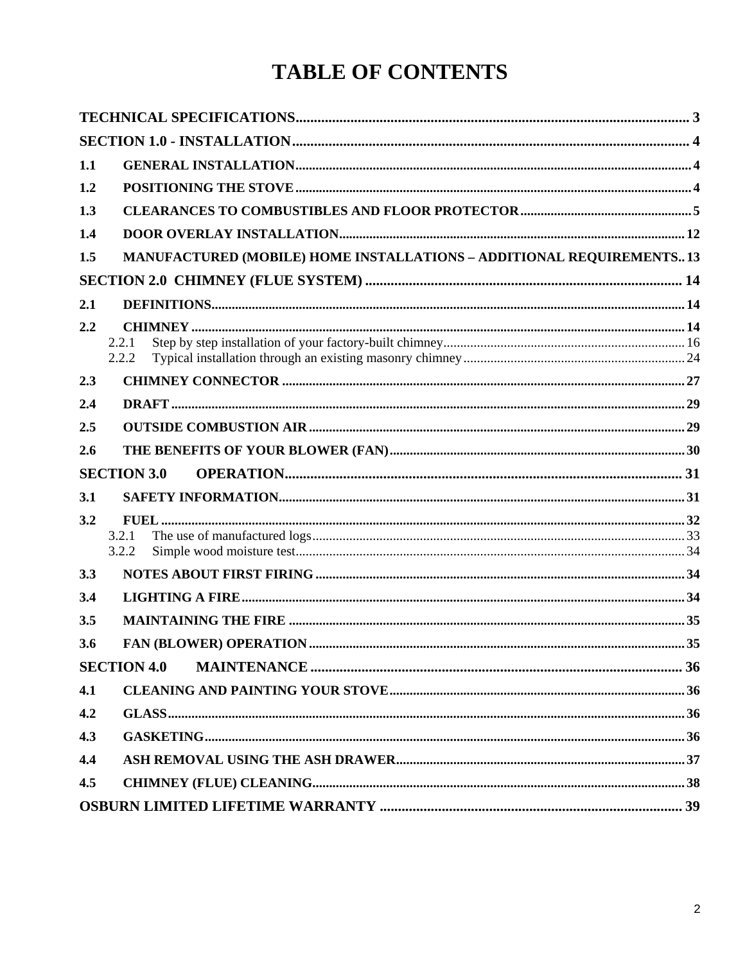# **TABLE OF CONTENTS**

| 1.1 |                                                                             |  |
|-----|-----------------------------------------------------------------------------|--|
| 1.2 |                                                                             |  |
| 1.3 |                                                                             |  |
| 1.4 |                                                                             |  |
| 1.5 | <b>MANUFACTURED (MOBILE) HOME INSTALLATIONS - ADDITIONAL REQUIREMENTS13</b> |  |
|     |                                                                             |  |
| 2.1 |                                                                             |  |
| 2.2 |                                                                             |  |
|     | 2.2.1                                                                       |  |
|     | 2.2.2                                                                       |  |
| 2.3 |                                                                             |  |
| 2.4 |                                                                             |  |
| 2.5 |                                                                             |  |
| 2.6 |                                                                             |  |
|     |                                                                             |  |
|     | <b>SECTION 3.0</b>                                                          |  |
| 3.1 |                                                                             |  |
| 3.2 |                                                                             |  |
|     | 3.2.1                                                                       |  |
|     | 3.2.2                                                                       |  |
| 3.3 |                                                                             |  |
| 3.4 |                                                                             |  |
| 3.5 |                                                                             |  |
| 3.6 |                                                                             |  |
|     | <b>SECTION 4.0</b>                                                          |  |
| 4.1 |                                                                             |  |
| 4.2 |                                                                             |  |
| 4.3 |                                                                             |  |
| 4.4 |                                                                             |  |
| 4.5 |                                                                             |  |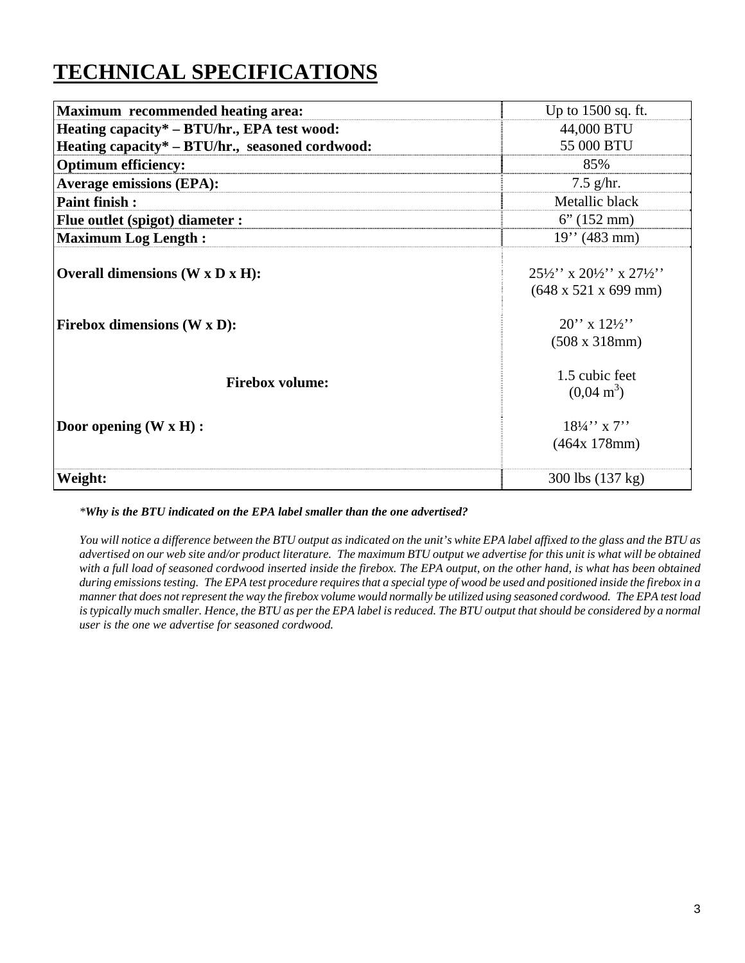# **TECHNICAL SPECIFICATIONS**

| <b>Maximum</b> recommended heating area:        | Up to 1500 sq. ft.                                                                                  |
|-------------------------------------------------|-----------------------------------------------------------------------------------------------------|
| Heating capacity* – BTU/hr., EPA test wood:     | 44,000 BTU                                                                                          |
| Heating capacity* – BTU/hr., seasoned cordwood: | 55 000 BTU                                                                                          |
| <b>Optimum efficiency:</b>                      | 85%                                                                                                 |
| <b>Average emissions (EPA):</b>                 | $7.5$ g/hr.                                                                                         |
| <b>Paint finish:</b>                            | Metallic black                                                                                      |
| <b>Flue outlet (spigot) diameter :</b>          | $6''(152 \text{ mm})$                                                                               |
| <b>Maximum Log Length:</b>                      | $19''$ (483 mm)                                                                                     |
| Overall dimensions $(W \times D \times H)$ :    | $25\frac{1}{2}$ , x $20\frac{1}{2}$ , x $27\frac{1}{2}$<br>$(648 \times 521 \times 699 \text{ mm})$ |
| <b>Firebox dimensions (W x D):</b>              | $20''$ x $12\frac{1}{2}$<br>$(508 \times 318)$ mm $)$                                               |
| <b>Firebox volume:</b>                          | 1.5 cubic feet<br>$(0.04 \text{ m}^3)$                                                              |
| Door opening $(W \times H)$ :                   | $18\frac{1}{4}$ , x 7.<br>(464x 178mm)                                                              |
| Weight:                                         | 300 lbs (137 kg)                                                                                    |

*\*Why is the BTU indicated on the EPA label smaller than the one advertised?*

*You will notice a difference between the BTU output as indicated on the unit's white EPA label affixed to the glass and the BTU as advertised on our web site and/or product literature. The maximum BTU output we advertise for this unit is what will be obtained with a full load of seasoned cordwood inserted inside the firebox. The EPA output, on the other hand, is what has been obtained during emissions testing. The EPA test procedure requires that a special type of wood be used and positioned inside the firebox in a manner that does not represent the way the firebox volume would normally be utilized using seasoned cordwood. The EPA test load is typically much smaller. Hence, the BTU as per the EPA label is reduced. The BTU output that should be considered by a normal user is the one we advertise for seasoned cordwood.*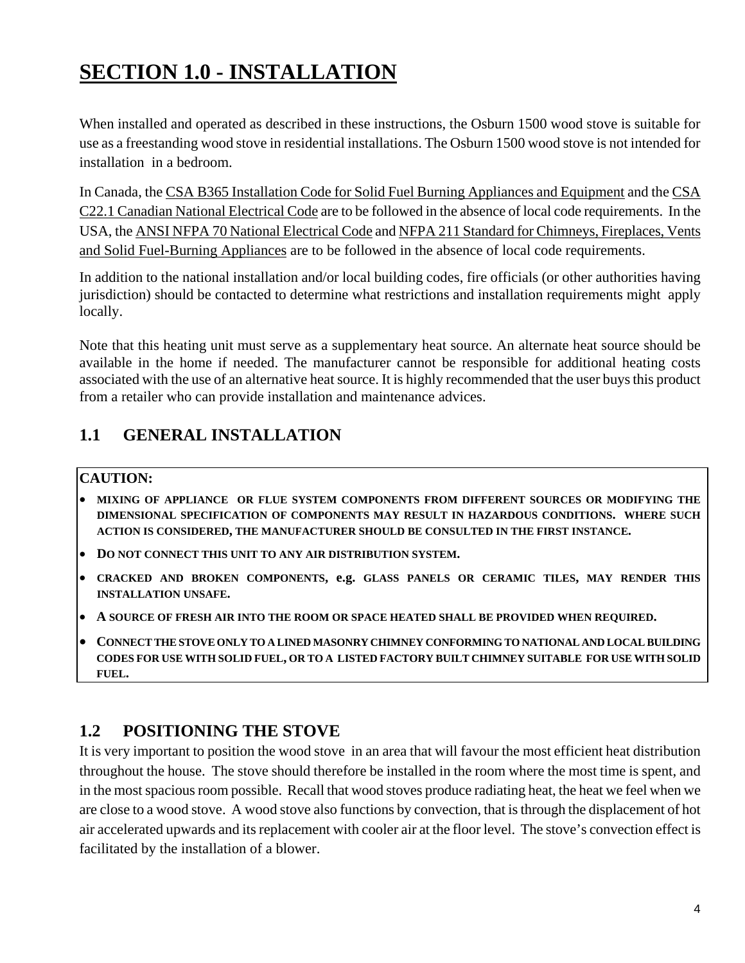# **SECTION 1.0 - INSTALLATION**

When installed and operated as described in these instructions, the Osburn 1500 wood stove is suitable for use as a freestanding wood stove in residential installations. The Osburn 1500 wood stove is not intended for installation in a bedroom.

In Canada, the CSA B365 Installation Code for Solid Fuel Burning Appliances and Equipment and the CSA C22.1 Canadian National Electrical Code are to be followed in the absence of local code requirements. In the USA, the ANSI NFPA 70 National Electrical Code and NFPA 211 Standard for Chimneys, Fireplaces, Vents and Solid Fuel-Burning Appliances are to be followed in the absence of local code requirements.

In addition to the national installation and/or local building codes, fire officials (or other authorities having jurisdiction) should be contacted to determine what restrictions and installation requirements might apply locally.

Note that this heating unit must serve as a supplementary heat source. An alternate heat source should be available in the home if needed. The manufacturer cannot be responsible for additional heating costs associated with the use of an alternative heat source. It is highly recommended that the user buys this product from a retailer who can provide installation and maintenance advices.

# **1.1 GENERAL INSTALLATION**

### **CAUTION:**

- **MIXING OF APPLIANCE OR FLUE SYSTEM COMPONENTS FROM DIFFERENT SOURCES OR MODIFYING THE DIMENSIONAL SPECIFICATION OF COMPONENTS MAY RESULT IN HAZARDOUS CONDITIONS. WHERE SUCH ACTION IS CONSIDERED, THE MANUFACTURER SHOULD BE CONSULTED IN THE FIRST INSTANCE.**
- **DO NOT CONNECT THIS UNIT TO ANY AIR DISTRIBUTION SYSTEM.**
- **CRACKED AND BROKEN COMPONENTS, e.g. GLASS PANELS OR CERAMIC TILES, MAY RENDER THIS INSTALLATION UNSAFE.**
- **A SOURCE OF FRESH AIR INTO THE ROOM OR SPACE HEATED SHALL BE PROVIDED WHEN REQUIRED.**
- **CONNECT THE STOVE ONLY TO A LINED MASONRY CHIMNEY CONFORMING TO NATIONAL AND LOCAL BUILDING CODES FOR USE WITH SOLID FUEL, OR TO A LISTED FACTORY BUILT CHIMNEY SUITABLE FOR USE WITH SOLID FUEL.**

# **1.2 POSITIONING THE STOVE**

It is very important to position the wood stove in an area that will favour the most efficient heat distribution throughout the house. The stove should therefore be installed in the room where the most time is spent, and in the most spacious room possible. Recall that wood stoves produce radiating heat, the heat we feel when we are close to a wood stove. A wood stove also functions by convection, that is through the displacement of hot air accelerated upwards and its replacement with cooler air at the floor level. The stove's convection effect is facilitated by the installation of a blower.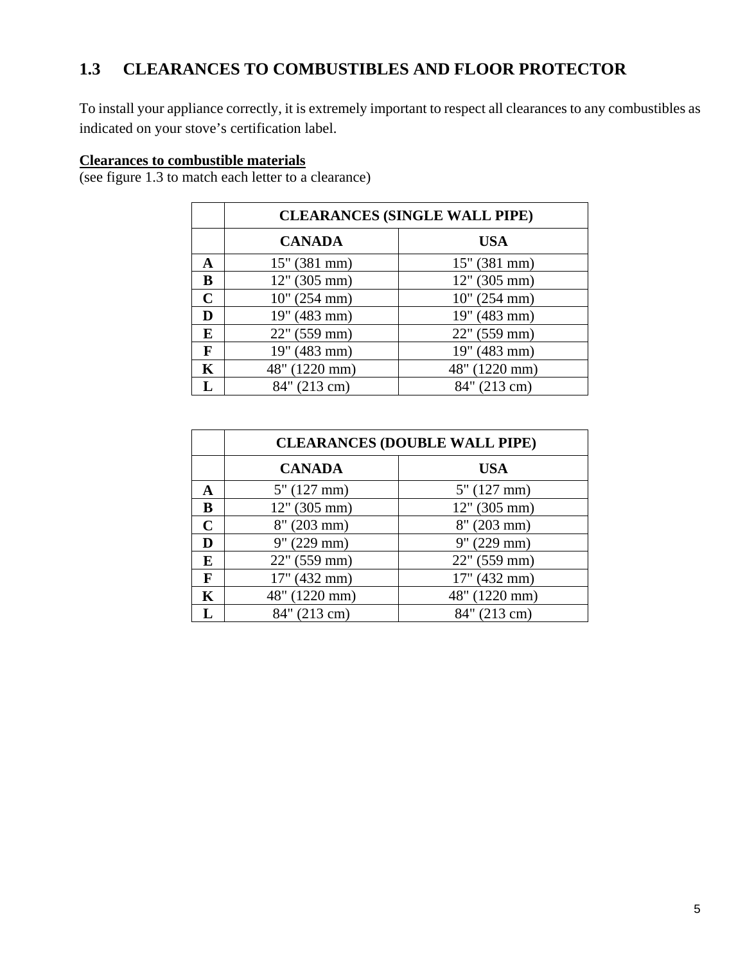# **1.3 CLEARANCES TO COMBUSTIBLES AND FLOOR PROTECTOR**

To install your appliance correctly, it is extremely important to respect all clearances to any combustibles as indicated on your stove's certification label.

#### **Clearances to combustible materials**

(see figure 1.3 to match each letter to a clearance)

|             | <b>CLEARANCES (SINGLE WALL PIPE)</b> |               |  |
|-------------|--------------------------------------|---------------|--|
|             | <b>CANADA</b>                        | <b>USA</b>    |  |
| A           | 15" (381 mm)                         | 15" (381 mm)  |  |
| B           | 12" (305 mm)                         | 12" (305 mm)  |  |
| $\mathbf C$ | 10'' (254 mm)                        | 10'' (254 mm) |  |
| D           | 19" (483 mm)                         | 19" (483 mm)  |  |
| E           | $22"$ (559 mm)                       | 22" (559 mm)  |  |
| F           | 19" (483 mm)                         | 19" (483 mm)  |  |
| K           | 48" (1220 mm)                        | 48" (1220 mm) |  |
| L           | 84" (213 cm)                         | 84" (213 cm)  |  |

|   | <b>CLEARANCES (DOUBLE WALL PIPE)</b> |                |  |
|---|--------------------------------------|----------------|--|
|   | <b>CANADA</b>                        | USA            |  |
| A | 5" (127 mm)                          | $5''$ (127 mm) |  |
| B | 12" (305 mm)                         | 12" (305 mm)   |  |
| C | $8''$ (203 mm)                       | $8''$ (203 mm) |  |
| D | $9''(229)$ mm)                       | 9'' (229 mm)   |  |
| E | $22"$ (559 mm)                       | 22" (559 mm)   |  |
| F | 17" (432 mm)                         | 17" (432 mm)   |  |
| K | 48" (1220 mm)                        | 48" (1220 mm)  |  |
| L | 84" (213 cm)                         | 84" (213 cm)   |  |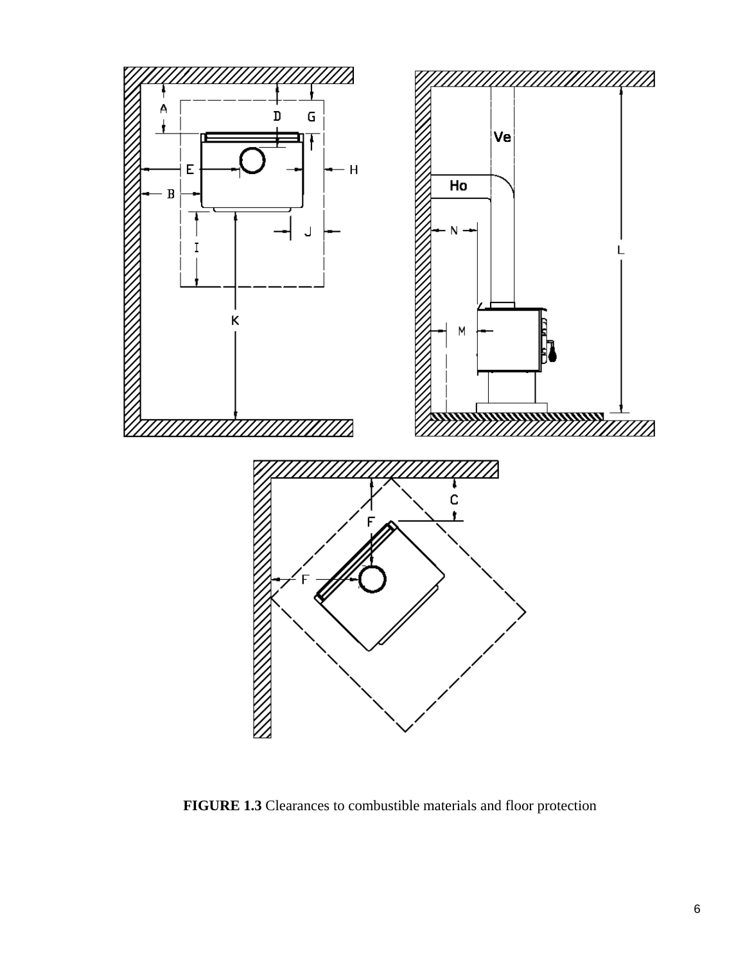

**FIGURE 1.3** Clearances to combustible materials and floor protection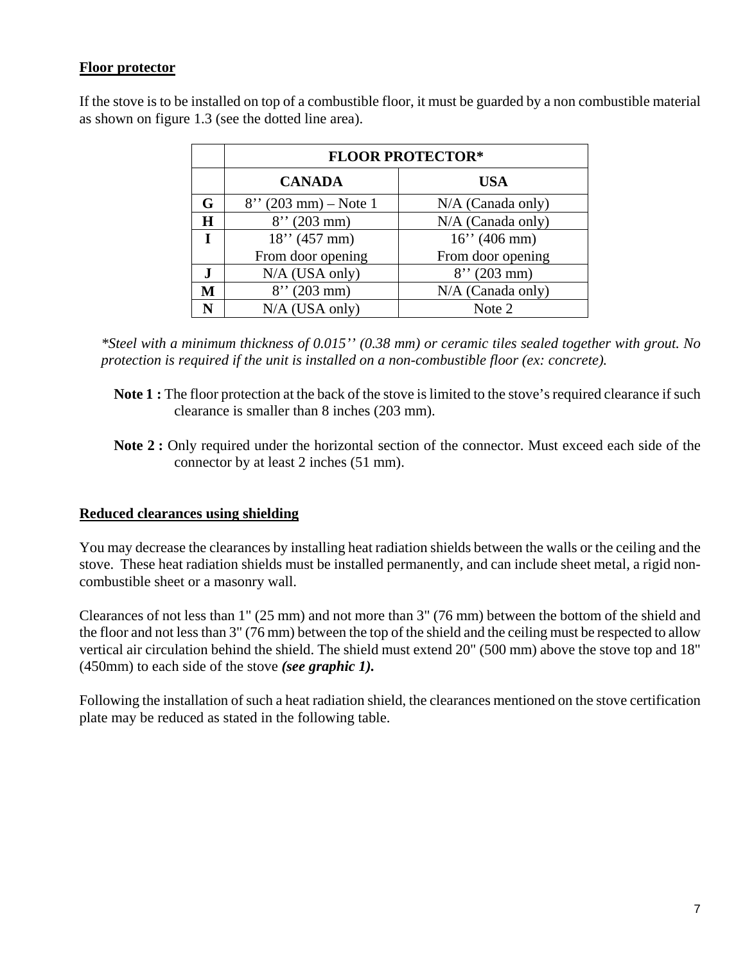#### **Floor protector**

|   | <b>FLOOR PROTECTOR*</b> |                     |  |
|---|-------------------------|---------------------|--|
|   | <b>CANADA</b>           | <b>USA</b>          |  |
| G | $8''$ (203 mm) – Note 1 | $N/A$ (Canada only) |  |
| H | $8''$ (203 mm)          | $N/A$ (Canada only) |  |
| L | $18''$ (457 mm)         | $16''$ (406 mm)     |  |
|   | From door opening       | From door opening   |  |
|   | N/A (USA only)          | $8''$ (203 mm)      |  |
| M | $8''$ (203 mm)          | $N/A$ (Canada only) |  |
| N | N/A (USA only)          | Note 2              |  |

If the stove is to be installed on top of a combustible floor, it must be guarded by a non combustible material as shown on figure 1.3 (see the dotted line area).

*\*Steel with a minimum thickness of 0.015'' (0.38 mm) or ceramic tiles sealed together with grout. No protection is required if the unit is installed on a non-combustible floor (ex: concrete).* 

- **Note 1 :** The floor protection at the back of the stove is limited to the stove's required clearance if such clearance is smaller than 8 inches (203 mm).
- **Note 2 :** Only required under the horizontal section of the connector. Must exceed each side of the connector by at least 2 inches (51 mm).

### **Reduced clearances using shielding**

You may decrease the clearances by installing heat radiation shields between the walls or the ceiling and the stove. These heat radiation shields must be installed permanently, and can include sheet metal, a rigid noncombustible sheet or a masonry wall.

Clearances of not less than 1" (25 mm) and not more than 3" (76 mm) between the bottom of the shield and the floor and not less than 3" (76 mm) between the top of the shield and the ceiling must be respected to allow vertical air circulation behind the shield. The shield must extend 20" (500 mm) above the stove top and 18" (450mm) to each side of the stove *(see graphic 1).*

Following the installation of such a heat radiation shield, the clearances mentioned on the stove certification plate may be reduced as stated in the following table.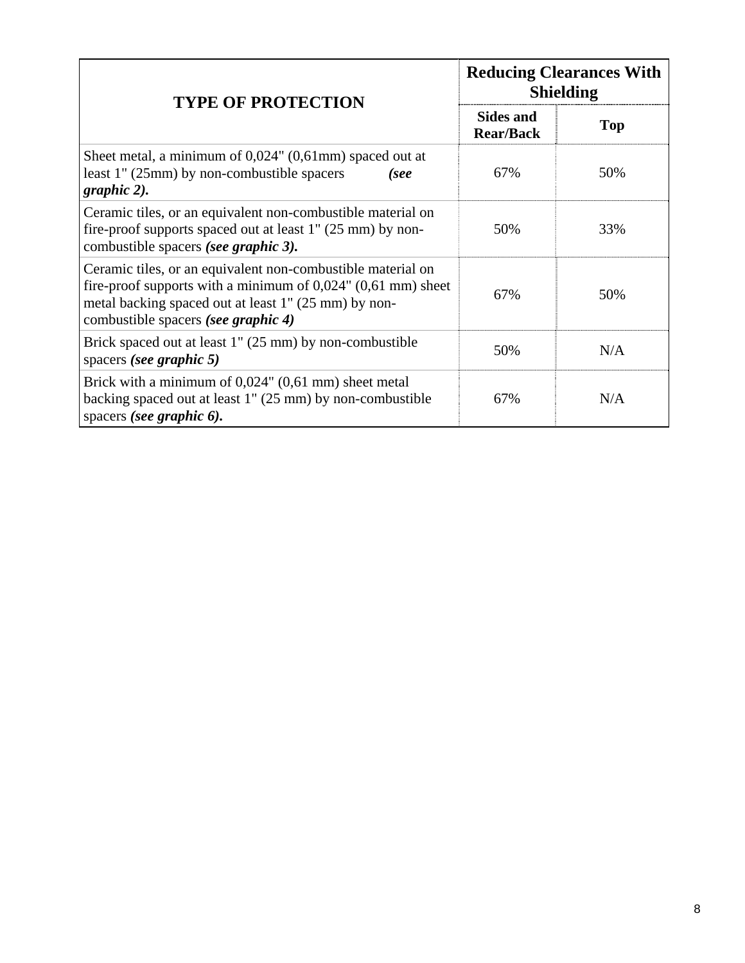| <b>TYPE OF PROTECTION</b>                                                                                                                                                                                                       | <b>Reducing Clearances With</b><br><b>Shielding</b> |     |
|---------------------------------------------------------------------------------------------------------------------------------------------------------------------------------------------------------------------------------|-----------------------------------------------------|-----|
|                                                                                                                                                                                                                                 | <b>Sides and</b><br><b>Rear/Back</b>                | Top |
| Sheet metal, a minimum of $0.024$ " $(0.61$ mm) spaced out at<br>least 1" (25mm) by non-combustible spacers<br>(see<br>graphic 2).                                                                                              | 67%                                                 | 50% |
| Ceramic tiles, or an equivalent non-combustible material on<br>fire-proof supports spaced out at least $1''$ (25 mm) by non-<br>combustible spacers (see graphic 3).                                                            | 50%                                                 | 33% |
| Ceramic tiles, or an equivalent non-combustible material on<br>fire-proof supports with a minimum of $0,024$ " $(0,61$ mm) sheet<br>metal backing spaced out at least 1" (25 mm) by non-<br>combustible spacers (see graphic 4) | 67%                                                 | 50% |
| Brick spaced out at least 1" (25 mm) by non-combustible<br>spacers (see graphic 5)                                                                                                                                              | 50%                                                 | N/A |
| Brick with a minimum of $0,024$ " $(0,61$ mm) sheet metal<br>backing spaced out at least 1" (25 mm) by non-combustible<br>spacers (see graphic 6).                                                                              | 67%                                                 | N/A |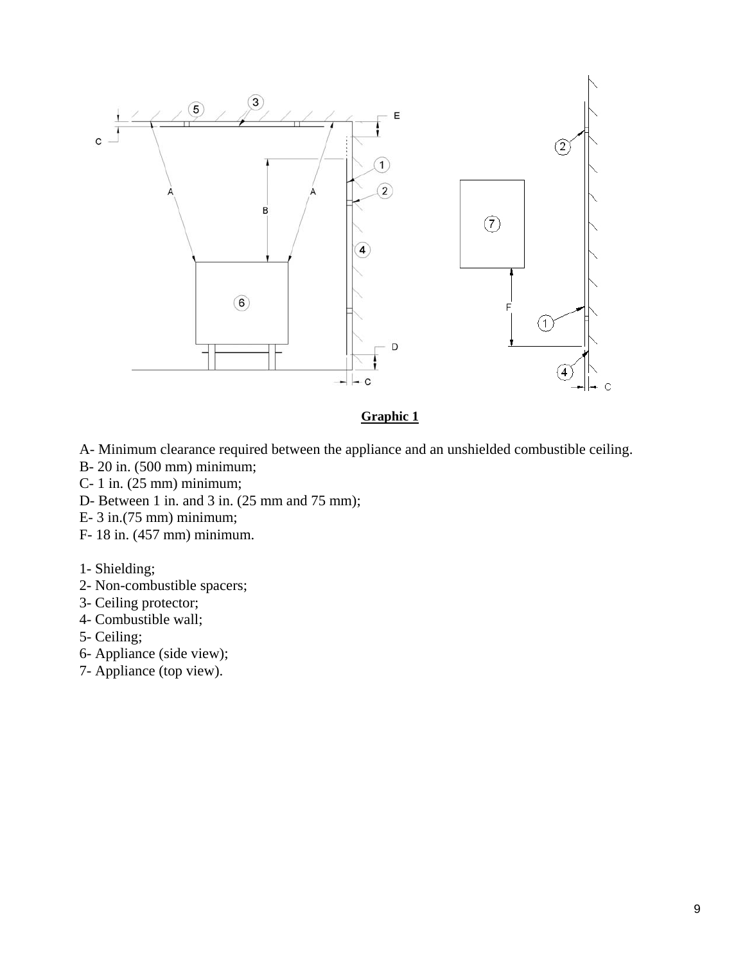

#### **Graphic 1**

- A- Minimum clearance required between the appliance and an unshielded combustible ceiling.
- B- 20 in. (500 mm) minimum;
- C- 1 in. (25 mm) minimum;
- D- Between 1 in. and 3 in. (25 mm and 75 mm);
- E- 3 in.(75 mm) minimum;
- F- 18 in. (457 mm) minimum.
- 1- Shielding;
- 2- Non-combustible spacers;
- 3- Ceiling protector;
- 4- Combustible wall;
- 5- Ceiling;
- 6- Appliance (side view);
- 7- Appliance (top view).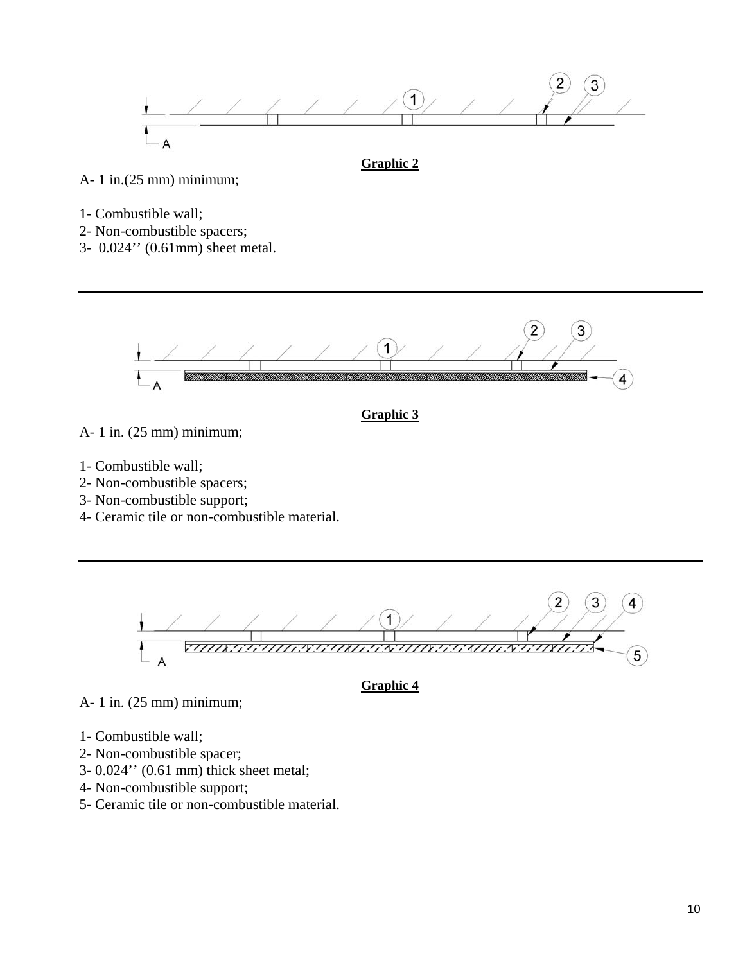

A- 1 in.(25 mm) minimum;

- 1- Combustible wall;
- 2- Non-combustible spacers;
- 3- 0.024'' (0.61mm) sheet metal.



**Graphic 3**

- A- 1 in. (25 mm) minimum;
- 1- Combustible wall;
- 2- Non-combustible spacers;
- 3- Non-combustible support;
- 4- Ceramic tile or non-combustible material.



**Graphic 4**

- A- 1 in. (25 mm) minimum;
- 1- Combustible wall;
- 2- Non-combustible spacer;
- 3- 0.024'' (0.61 mm) thick sheet metal;
- 4- Non-combustible support;
- 5- Ceramic tile or non-combustible material.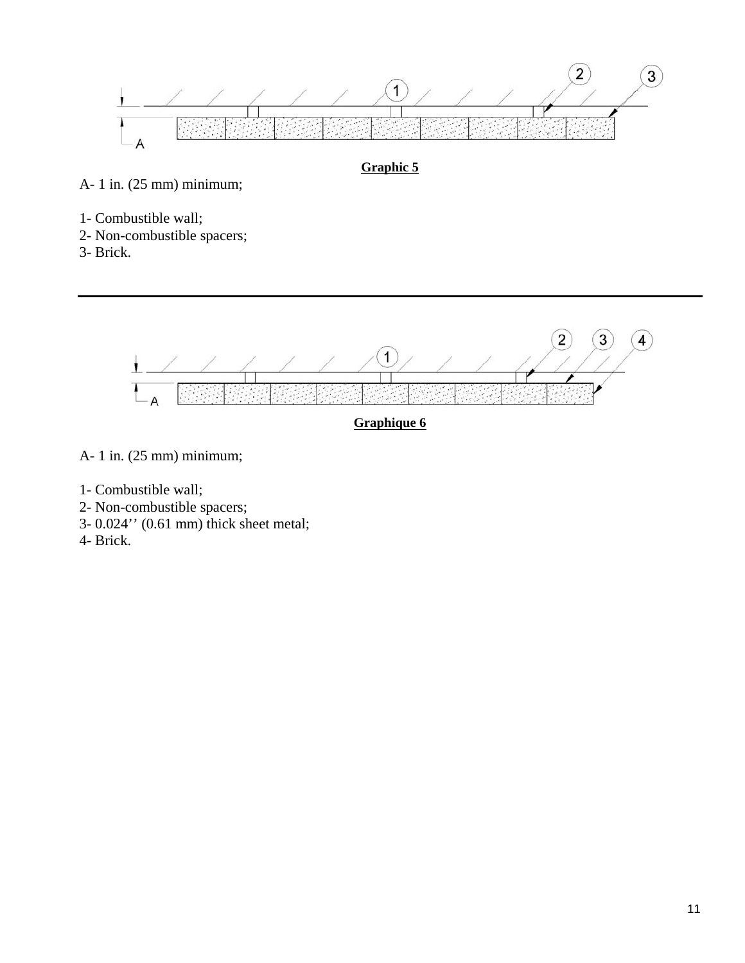

**Graphic 5**

A- 1 in. (25 mm) minimum;

- 1- Combustible wall;
- 2- Non-combustible spacers;
- 3- Brick.

 $\overline{2}$  $\overline{3}$  $\overline{4}$  $\overline{1}$  $\mathbf{I}$ 

**Graphique 6**

- A- 1 in. (25 mm) minimum;
- 1- Combustible wall;
- 2- Non-combustible spacers;
- 3- 0.024'' (0.61 mm) thick sheet metal;
- 4- Brick.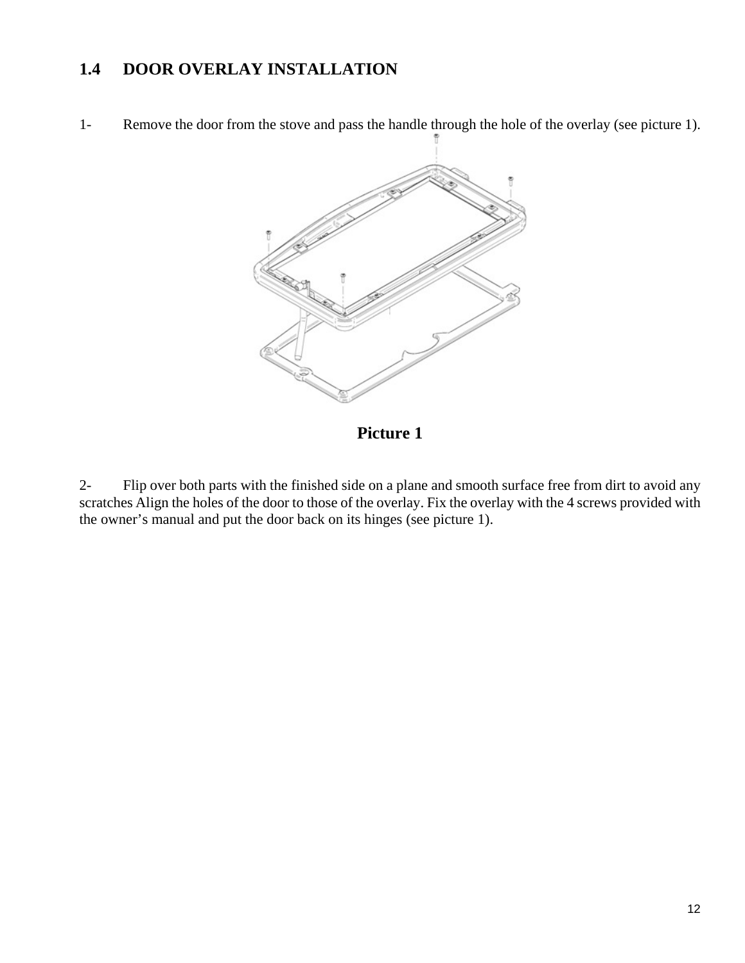## **1.4 DOOR OVERLAY INSTALLATION**

1- Remove the door from the stove and pass the handle through the hole of the overlay (see picture 1).



**Picture 1** 

2- Flip over both parts with the finished side on a plane and smooth surface free from dirt to avoid any scratches Align the holes of the door to those of the overlay. Fix the overlay with the 4 screws provided with the owner's manual and put the door back on its hinges (see picture 1).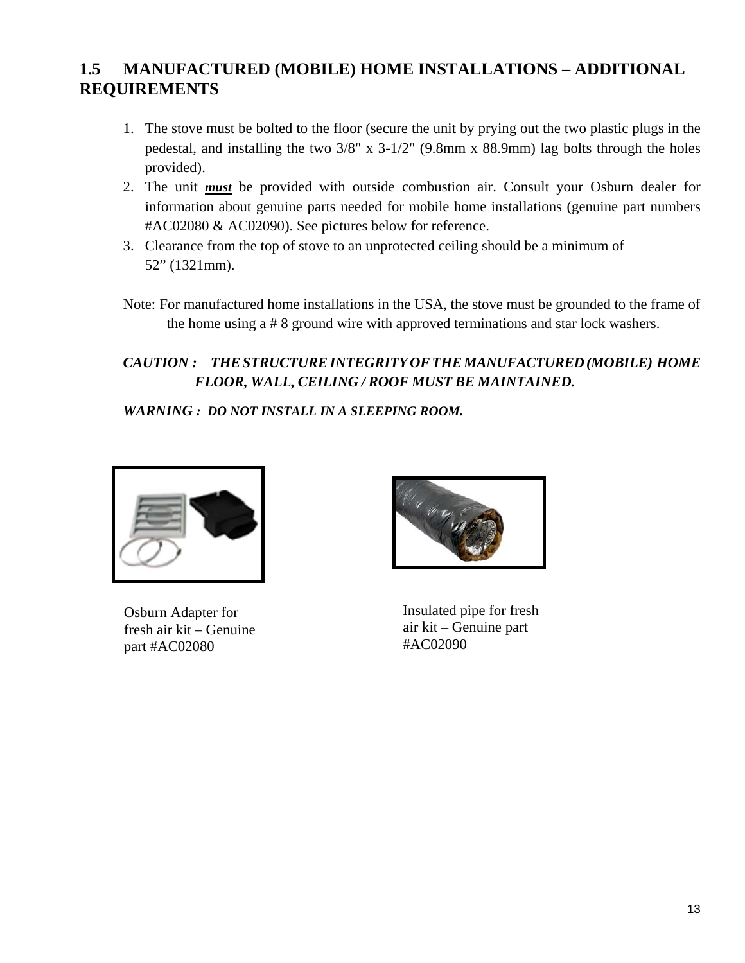## **1.5 MANUFACTURED (MOBILE) HOME INSTALLATIONS – ADDITIONAL REQUIREMENTS**

- 1. The stove must be bolted to the floor (secure the unit by prying out the two plastic plugs in the pedestal, and installing the two 3/8" x 3-1/2" (9.8mm x 88.9mm) lag bolts through the holes provided).
- 2. The unit *must* be provided with outside combustion air. Consult your Osburn dealer for information about genuine parts needed for mobile home installations (genuine part numbers #AC02080 & AC02090). See pictures below for reference.
- 3. Clearance from the top of stove to an unprotected ceiling should be a minimum of 52" (1321mm).
- Note: For manufactured home installations in the USA, the stove must be grounded to the frame of the home using a # 8 ground wire with approved terminations and star lock washers.

## *CAUTION : THESTRUCTUREINTEGRITY OFTHEMANUFACTURED(MOBILE) HOME FLOOR, WALL, CEILING / ROOF MUST BE MAINTAINED.*

*WARNING : DO NOT INSTALL IN A SLEEPING ROOM.* 



Osburn Adapter for fresh air kit – Genuine part #AC02080



Insulated pipe for fresh air kit – Genuine part #AC02090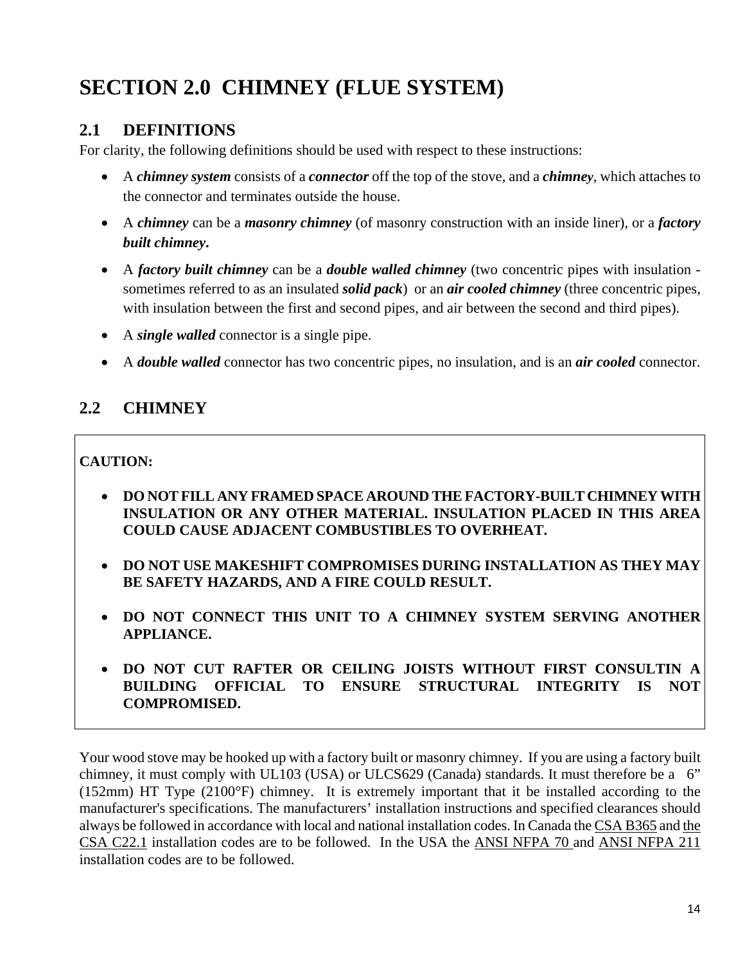# **SECTION 2.0 CHIMNEY (FLUE SYSTEM)**

## **2.1 DEFINITIONS**

For clarity, the following definitions should be used with respect to these instructions:

- A *chimney system* consists of a *connector* off the top of the stove, and a *chimney*, which attaches to the connector and terminates outside the house.
- A *chimney* can be a *masonry chimney* (of masonry construction with an inside liner), or a *factory built chimney***.**
- A *factory built chimney* can be a *double walled chimney* (two concentric pipes with insulation sometimes referred to as an insulated *solid pack*) or an *air cooled chimney* (three concentric pipes, with insulation between the first and second pipes, and air between the second and third pipes).
- A *single walled* connector is a single pipe.
- A *double walled* connector has two concentric pipes, no insulation, and is an *air cooled* connector.

## **2.2 CHIMNEY**

### **CAUTION:**

- **DO NOT FILL ANY FRAMED SPACE AROUND THE FACTORY-BUILT CHIMNEY WITH INSULATION OR ANY OTHER MATERIAL. INSULATION PLACED IN THIS AREA COULD CAUSE ADJACENT COMBUSTIBLES TO OVERHEAT.**
- **DO NOT USE MAKESHIFT COMPROMISES DURING INSTALLATION AS THEY MAY BE SAFETY HAZARDS, AND A FIRE COULD RESULT.**
- **DO NOT CONNECT THIS UNIT TO A CHIMNEY SYSTEM SERVING ANOTHER APPLIANCE.**
- **DO NOT CUT RAFTER OR CEILING JOISTS WITHOUT FIRST CONSULTIN A BUILDING OFFICIAL TO ENSURE STRUCTURAL INTEGRITY IS NOT COMPROMISED.**

Your wood stove may be hooked up with a factory built or masonry chimney. If you are using a factory built chimney, it must comply with UL103 (USA) or ULCS629 (Canada) standards. It must therefore be a 6" (152mm) HT Type (2100°F) chimney. It is extremely important that it be installed according to the manufacturer's specifications. The manufacturers' installation instructions and specified clearances should always be followed in accordance with local and national installation codes. In Canada the CSA B365 and the CSA C22.1 installation codes are to be followed. In the USA the ANSI NFPA 70 and ANSI NFPA 211 installation codes are to be followed.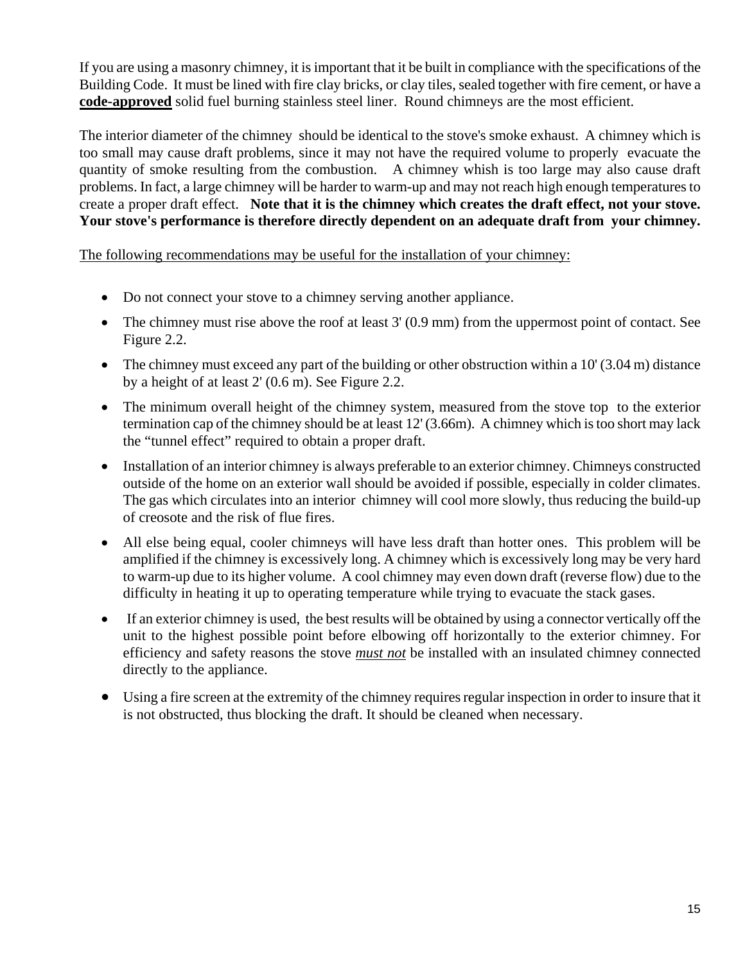If you are using a masonry chimney, it is important that it be built in compliance with the specifications of the Building Code. It must be lined with fire clay bricks, or clay tiles, sealed together with fire cement, or have a **code-approved** solid fuel burning stainless steel liner. Round chimneys are the most efficient.

The interior diameter of the chimney should be identical to the stove's smoke exhaust. A chimney which is too small may cause draft problems, since it may not have the required volume to properly evacuate the quantity of smoke resulting from the combustion. A chimney whish is too large may also cause draft problems. In fact, a large chimney will be harder to warm-up and may not reach high enough temperatures to create a proper draft effect. **Note that it is the chimney which creates the draft effect, not your stove. Your stove's performance is therefore directly dependent on an adequate draft from your chimney.**

The following recommendations may be useful for the installation of your chimney:

- Do not connect your stove to a chimney serving another appliance.
- The chimney must rise above the roof at least 3' (0.9 mm) from the uppermost point of contact. See Figure 2.2.
- $\bullet$  The chimney must exceed any part of the building or other obstruction within a 10' (3.04 m) distance by a height of at least 2' (0.6 m). See Figure 2.2.
- The minimum overall height of the chimney system, measured from the stove top to the exterior termination cap of the chimney should be at least 12' (3.66m). A chimney which is too short may lack the "tunnel effect" required to obtain a proper draft.
- Installation of an interior chimney is always preferable to an exterior chimney. Chimneys constructed outside of the home on an exterior wall should be avoided if possible, especially in colder climates. The gas which circulates into an interior chimney will cool more slowly, thus reducing the build-up of creosote and the risk of flue fires.
- All else being equal, cooler chimneys will have less draft than hotter ones. This problem will be amplified if the chimney is excessively long. A chimney which is excessively long may be very hard to warm-up due to its higher volume. A cool chimney may even down draft (reverse flow) due to the difficulty in heating it up to operating temperature while trying to evacuate the stack gases.
- If an exterior chimney is used, the best results will be obtained by using a connector vertically off the unit to the highest possible point before elbowing off horizontally to the exterior chimney. For efficiency and safety reasons the stove *must not* be installed with an insulated chimney connected directly to the appliance.
- Using a fire screen at the extremity of the chimney requires regular inspection in order to insure that it is not obstructed, thus blocking the draft. It should be cleaned when necessary.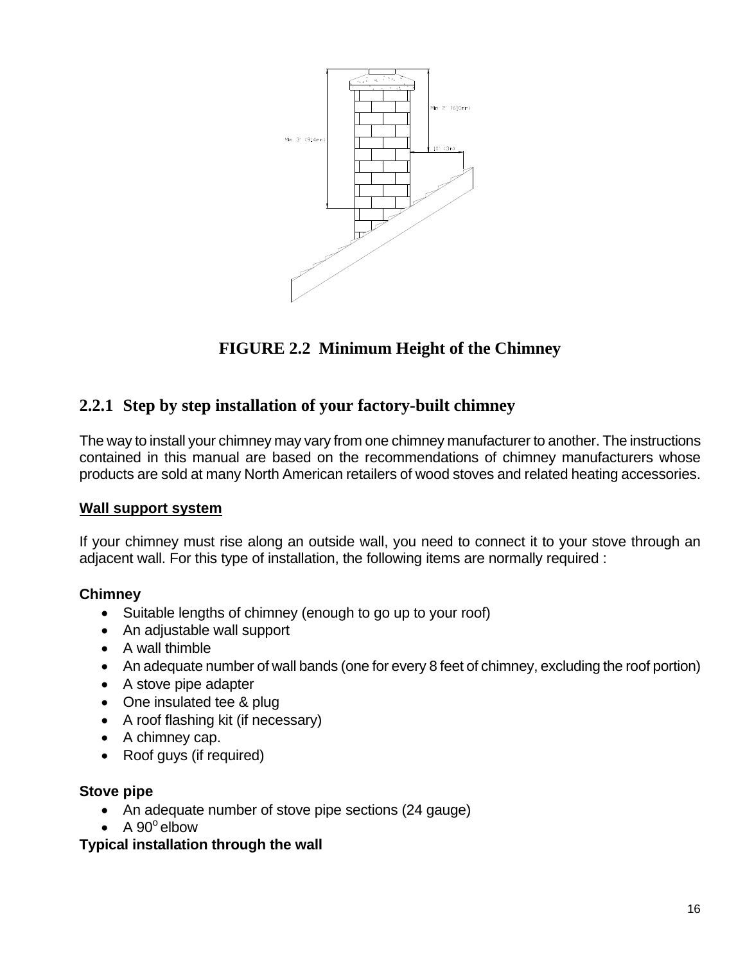

# **FIGURE 2.2 Minimum Height of the Chimney**

## **2.2.1 Step by step installation of your factory-built chimney**

The way to install your chimney may vary from one chimney manufacturer to another. The instructions contained in this manual are based on the recommendations of chimney manufacturers whose products are sold at many North American retailers of wood stoves and related heating accessories.

#### **Wall support system**

If your chimney must rise along an outside wall, you need to connect it to your stove through an adjacent wall. For this type of installation, the following items are normally required :

### **Chimney**

- Suitable lengths of chimney (enough to go up to your roof)
- An adjustable wall support
- A wall thimble
- An adequate number of wall bands (one for every 8 feet of chimney, excluding the roof portion)
- A stove pipe adapter
- One insulated tee & plug
- A roof flashing kit (if necessary)
- A chimney cap.
- Roof guys (if required)

#### **Stove pipe**

- An adequate number of stove pipe sections (24 gauge)
- $\bullet$  A 90 $^{\circ}$  elbow

#### **Typical installation through the wall**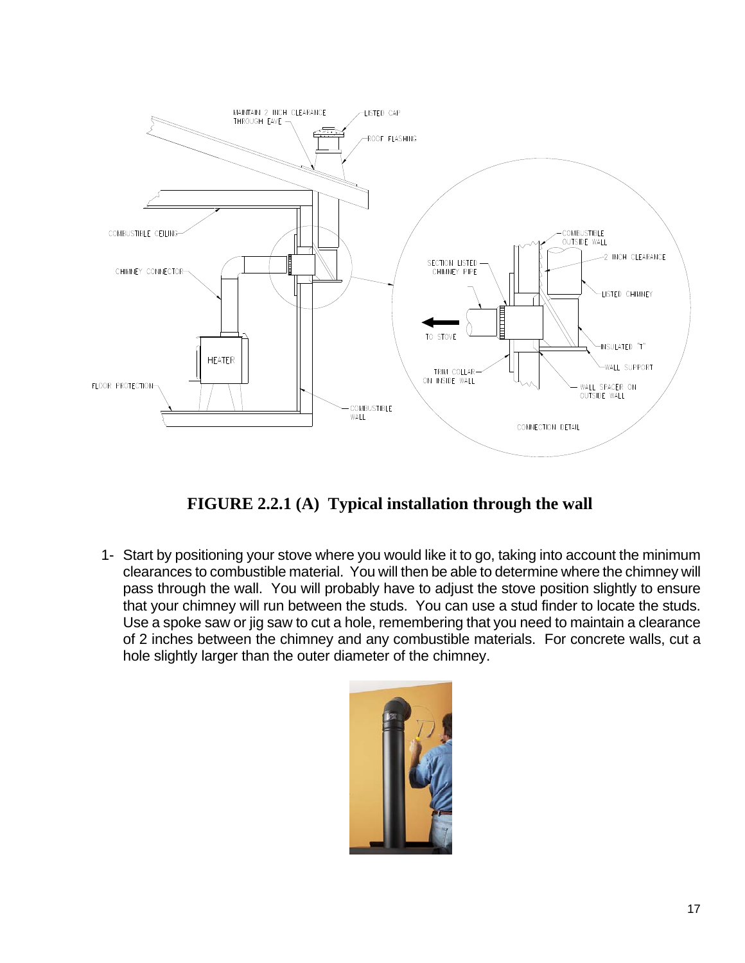

**FIGURE 2.2.1 (A) Typical installation through the wall** 

1- Start by positioning your stove where you would like it to go, taking into account the minimum clearances to combustible material. You will then be able to determine where the chimney will pass through the wall. You will probably have to adjust the stove position slightly to ensure that your chimney will run between the studs. You can use a stud finder to locate the studs. Use a spoke saw or jig saw to cut a hole, remembering that you need to maintain a clearance of 2 inches between the chimney and any combustible materials. For concrete walls, cut a hole slightly larger than the outer diameter of the chimney.

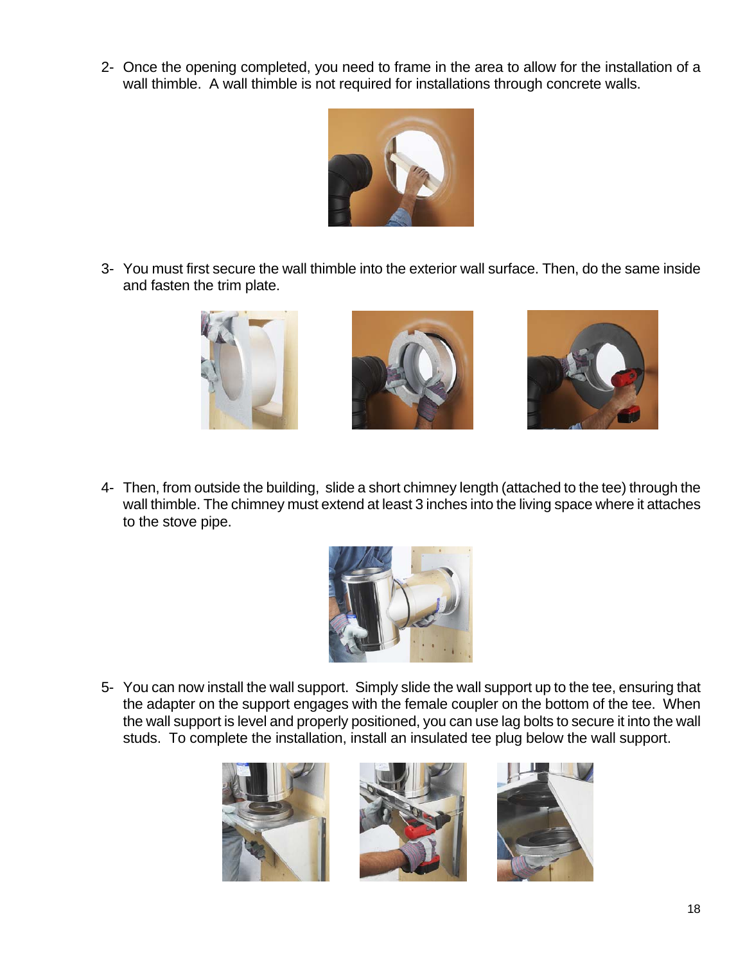2- Once the opening completed, you need to frame in the area to allow for the installation of a wall thimble. A wall thimble is not required for installations through concrete walls.



3- You must first secure the wall thimble into the exterior wall surface. Then, do the same inside and fasten the trim plate.



4- Then, from outside the building, slide a short chimney length (attached to the tee) through the wall thimble. The chimney must extend at least 3 inches into the living space where it attaches to the stove pipe.



5- You can now install the wall support. Simply slide the wall support up to the tee, ensuring that the adapter on the support engages with the female coupler on the bottom of the tee. When the wall support is level and properly positioned, you can use lag bolts to secure it into the wall studs. To complete the installation, install an insulated tee plug below the wall support.





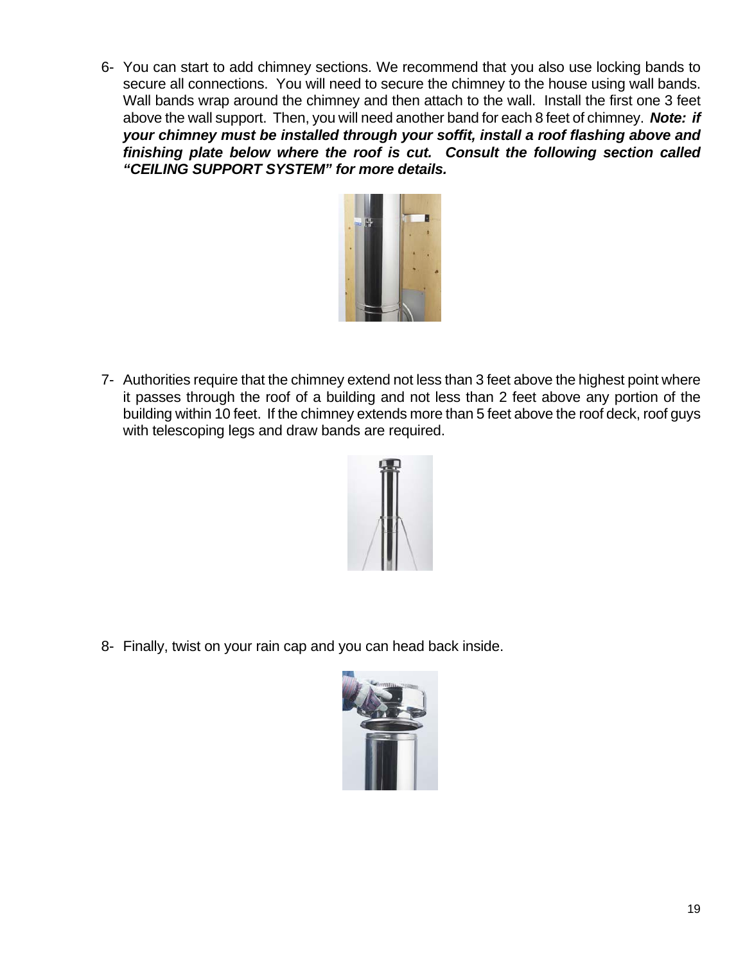6- You can start to add chimney sections. We recommend that you also use locking bands to secure all connections. You will need to secure the chimney to the house using wall bands. Wall bands wrap around the chimney and then attach to the wall. Install the first one 3 feet above the wall support. Then, you will need another band for each 8 feet of chimney. *Note: if your chimney must be installed through your soffit, install a roof flashing above and finishing plate below where the roof is cut. Consult the following section called "CEILING SUPPORT SYSTEM" for more details.*



7- Authorities require that the chimney extend not less than 3 feet above the highest point where it passes through the roof of a building and not less than 2 feet above any portion of the building within 10 feet. If the chimney extends more than 5 feet above the roof deck, roof guys with telescoping legs and draw bands are required.



8- Finally, twist on your rain cap and you can head back inside.

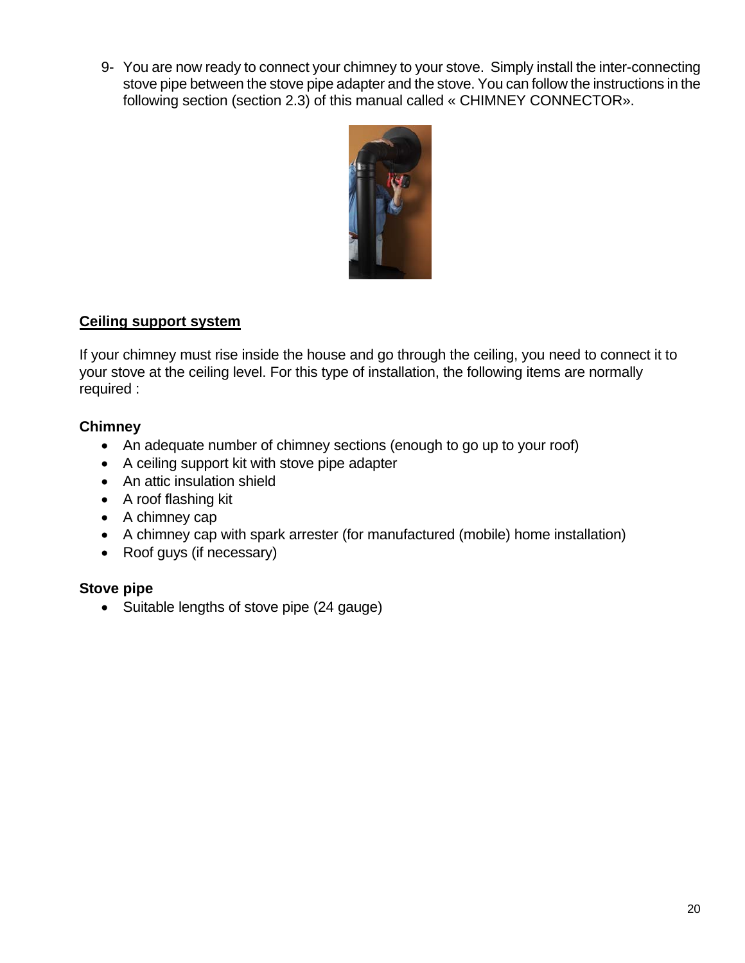9- You are now ready to connect your chimney to your stove. Simply install the inter-connecting stove pipe between the stove pipe adapter and the stove. You can follow the instructions in the following section (section 2.3) of this manual called « CHIMNEY CONNECTOR».



### **Ceiling support system**

If your chimney must rise inside the house and go through the ceiling, you need to connect it to your stove at the ceiling level. For this type of installation, the following items are normally required :

### **Chimney**

- An adequate number of chimney sections (enough to go up to your roof)
- A ceiling support kit with stove pipe adapter
- An attic insulation shield
- A roof flashing kit
- A chimney cap
- A chimney cap with spark arrester (for manufactured (mobile) home installation)
- Roof guys (if necessary)

### **Stove pipe**

• Suitable lengths of stove pipe (24 gauge)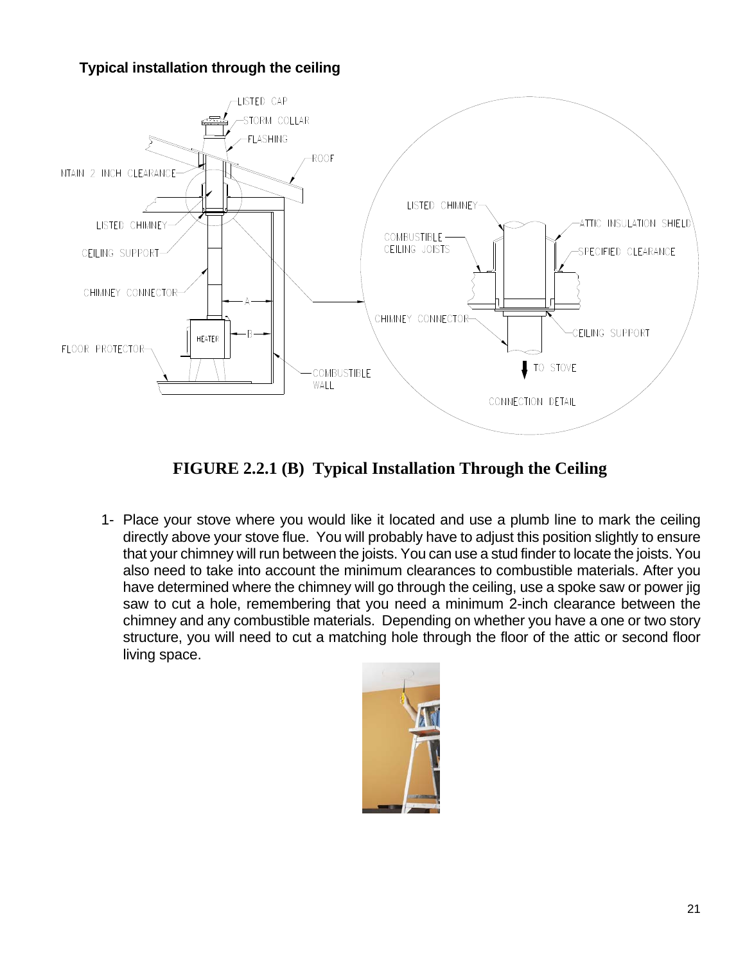## **Typical installation through the ceiling**



**FIGURE 2.2.1 (B) Typical Installation Through the Ceiling** 

1- Place your stove where you would like it located and use a plumb line to mark the ceiling directly above your stove flue. You will probably have to adjust this position slightly to ensure that your chimney will run between the joists. You can use a stud finder to locate the joists. You also need to take into account the minimum clearances to combustible materials. After you have determined where the chimney will go through the ceiling, use a spoke saw or power jig saw to cut a hole, remembering that you need a minimum 2-inch clearance between the chimney and any combustible materials. Depending on whether you have a one or two story structure, you will need to cut a matching hole through the floor of the attic or second floor living space.

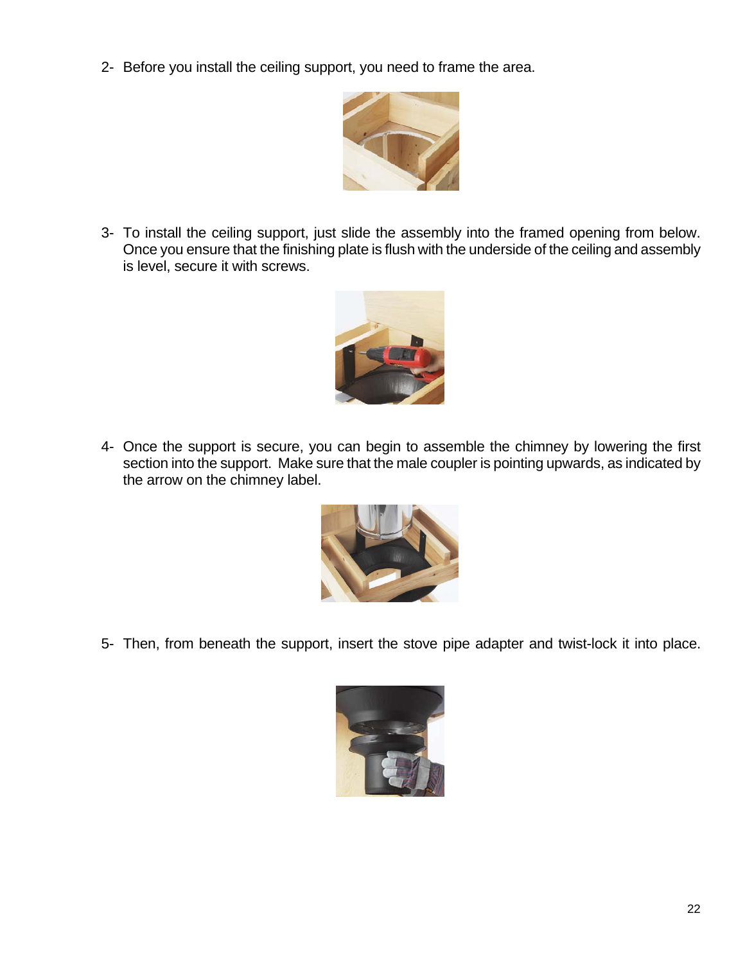2- Before you install the ceiling support, you need to frame the area.



3- To install the ceiling support, just slide the assembly into the framed opening from below. Once you ensure that the finishing plate is flush with the underside of the ceiling and assembly is level, secure it with screws.



4- Once the support is secure, you can begin to assemble the chimney by lowering the first section into the support. Make sure that the male coupler is pointing upwards, as indicated by the arrow on the chimney label.



5- Then, from beneath the support, insert the stove pipe adapter and twist-lock it into place.

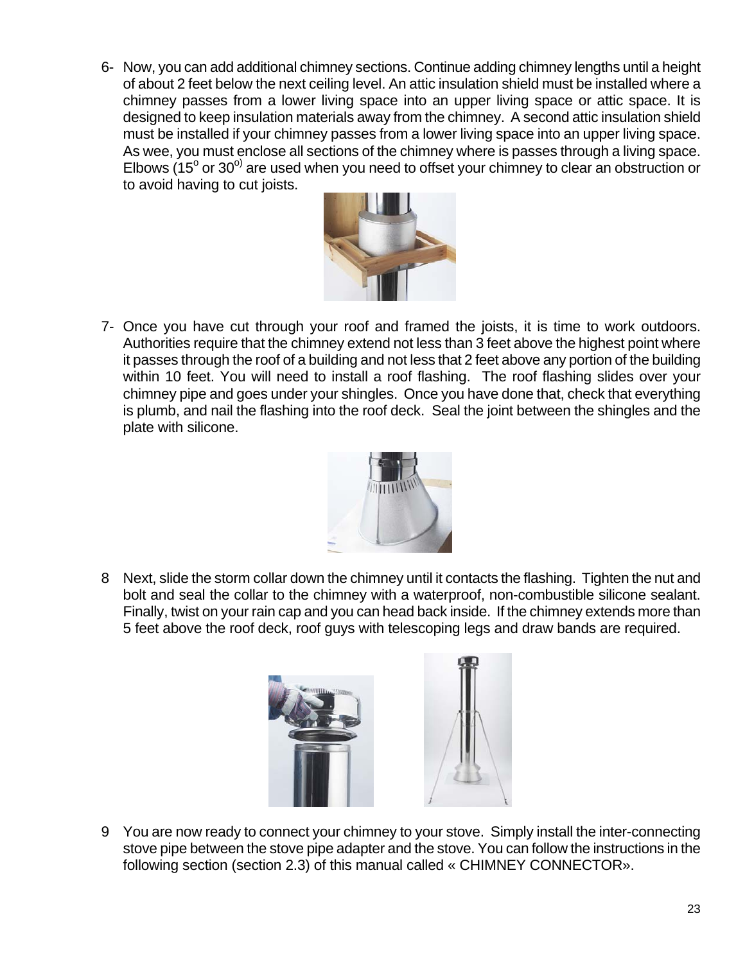6- Now, you can add additional chimney sections. Continue adding chimney lengths until a height of about 2 feet below the next ceiling level. An attic insulation shield must be installed where a chimney passes from a lower living space into an upper living space or attic space. It is designed to keep insulation materials away from the chimney. A second attic insulation shield must be installed if your chimney passes from a lower living space into an upper living space. As wee, you must enclose all sections of the chimney where is passes through a living space. Elbows (15 $^{\circ}$  or 30 $^{\circ}$ ) are used when you need to offset your chimney to clear an obstruction or to avoid having to cut joists.



7- Once you have cut through your roof and framed the joists, it is time to work outdoors. Authorities require that the chimney extend not less than 3 feet above the highest point where it passes through the roof of a building and not less that 2 feet above any portion of the building within 10 feet. You will need to install a roof flashing. The roof flashing slides over your chimney pipe and goes under your shingles. Once you have done that, check that everything is plumb, and nail the flashing into the roof deck. Seal the joint between the shingles and the plate with silicone.



8 Next, slide the storm collar down the chimney until it contacts the flashing. Tighten the nut and bolt and seal the collar to the chimney with a waterproof, non-combustible silicone sealant. Finally, twist on your rain cap and you can head back inside. If the chimney extends more than 5 feet above the roof deck, roof guys with telescoping legs and draw bands are required.





9 You are now ready to connect your chimney to your stove. Simply install the inter-connecting stove pipe between the stove pipe adapter and the stove. You can follow the instructions in the following section (section 2.3) of this manual called « CHIMNEY CONNECTOR».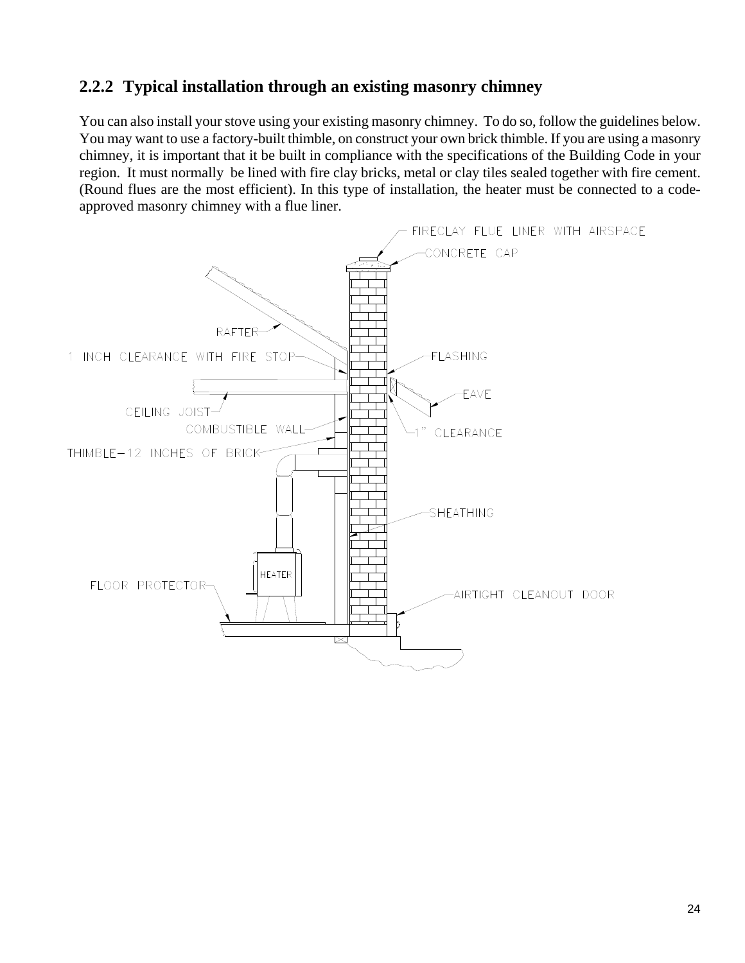## **2.2.2 Typical installation through an existing masonry chimney**

You can also install your stove using your existing masonry chimney. To do so, follow the guidelines below. You may want to use a factory-built thimble, on construct your own brick thimble. If you are using a masonry chimney, it is important that it be built in compliance with the specifications of the Building Code in your region. It must normally be lined with fire clay bricks, metal or clay tiles sealed together with fire cement. (Round flues are the most efficient). In this type of installation, the heater must be connected to a codeapproved masonry chimney with a flue liner.

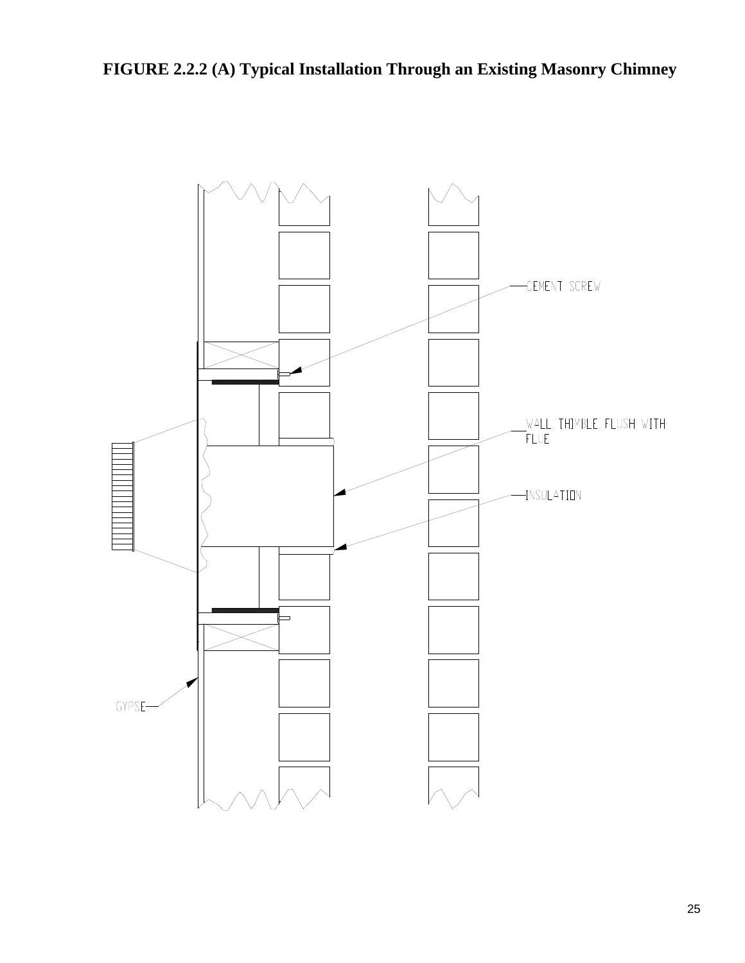**FIGURE 2.2.2 (A) Typical Installation Through an Existing Masonry Chimney**

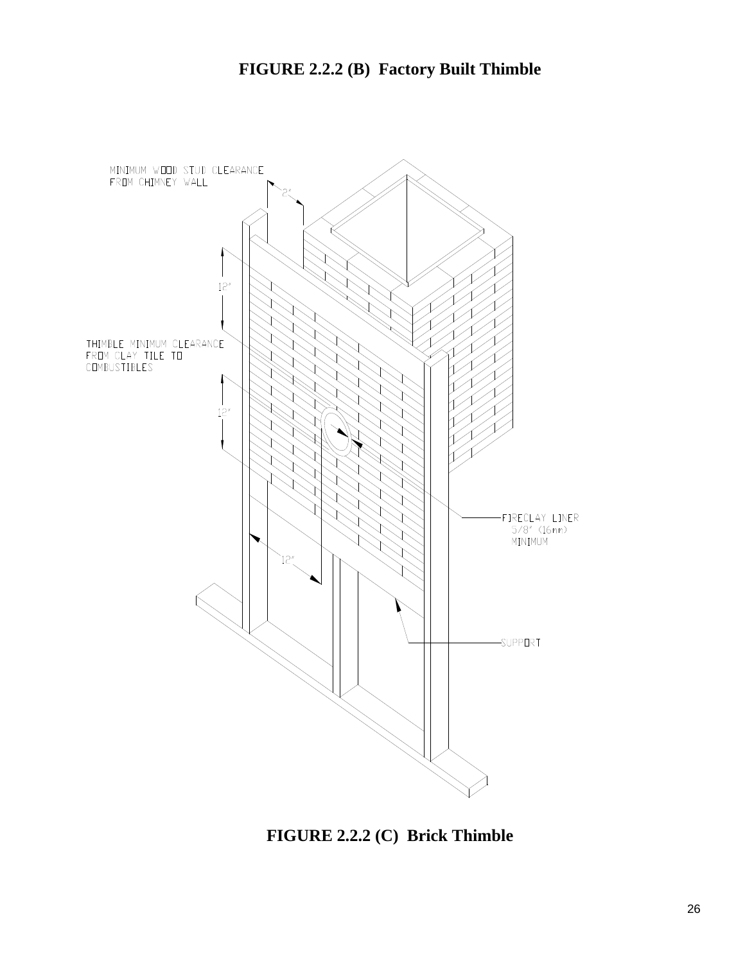

**FIGURE 2.2.2 (C) Brick Thimble**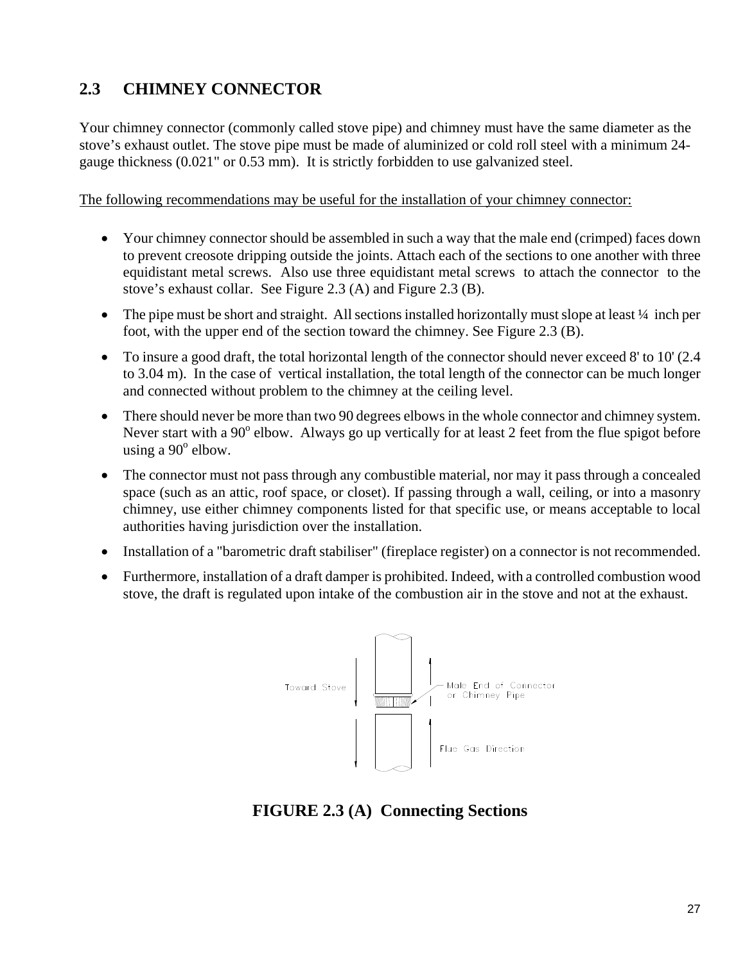# **2.3 CHIMNEY CONNECTOR**

Your chimney connector (commonly called stove pipe) and chimney must have the same diameter as the stove's exhaust outlet. The stove pipe must be made of aluminized or cold roll steel with a minimum 24 gauge thickness (0.021" or 0.53 mm). It is strictly forbidden to use galvanized steel.

The following recommendations may be useful for the installation of your chimney connector:

- Your chimney connector should be assembled in such a way that the male end (crimped) faces down to prevent creosote dripping outside the joints. Attach each of the sections to one another with three equidistant metal screws. Also use three equidistant metal screws to attach the connector to the stove's exhaust collar. See Figure 2.3 (A) and Figure 2.3 (B).
- The pipe must be short and straight. All sections installed horizontally must slope at least 1/4 inch per foot, with the upper end of the section toward the chimney. See Figure 2.3 (B).
- To insure a good draft, the total horizontal length of the connector should never exceed 8' to 10' (2.4) to 3.04 m). In the case of vertical installation, the total length of the connector can be much longer and connected without problem to the chimney at the ceiling level.
- There should never be more than two 90 degrees elbows in the whole connector and chimney system. Never start with a 90<sup>°</sup> elbow. Always go up vertically for at least 2 feet from the flue spigot before using a  $90^{\circ}$  elbow.
- The connector must not pass through any combustible material, nor may it pass through a concealed space (such as an attic, roof space, or closet). If passing through a wall, ceiling, or into a masonry chimney, use either chimney components listed for that specific use, or means acceptable to local authorities having jurisdiction over the installation.
- Installation of a "barometric draft stabiliser" (fireplace register) on a connector is not recommended.
- Furthermore, installation of a draft damper is prohibited. Indeed, with a controlled combustion wood stove, the draft is regulated upon intake of the combustion air in the stove and not at the exhaust.



**FIGURE 2.3 (A) Connecting Sections**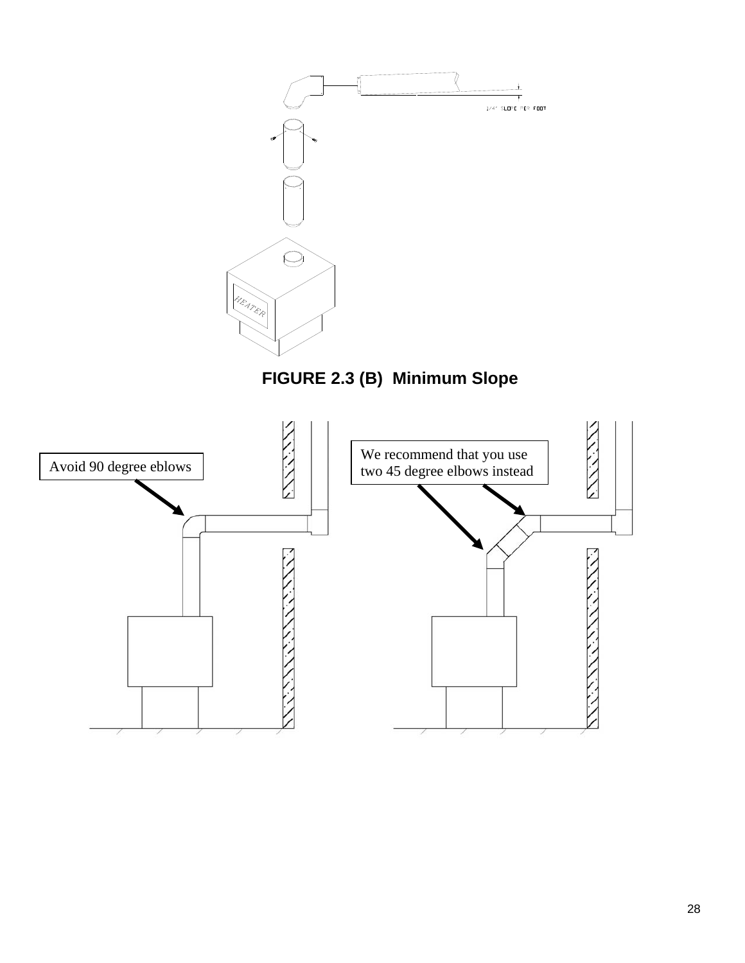

**FIGURE 2.3 (B) Minimum Slope** 

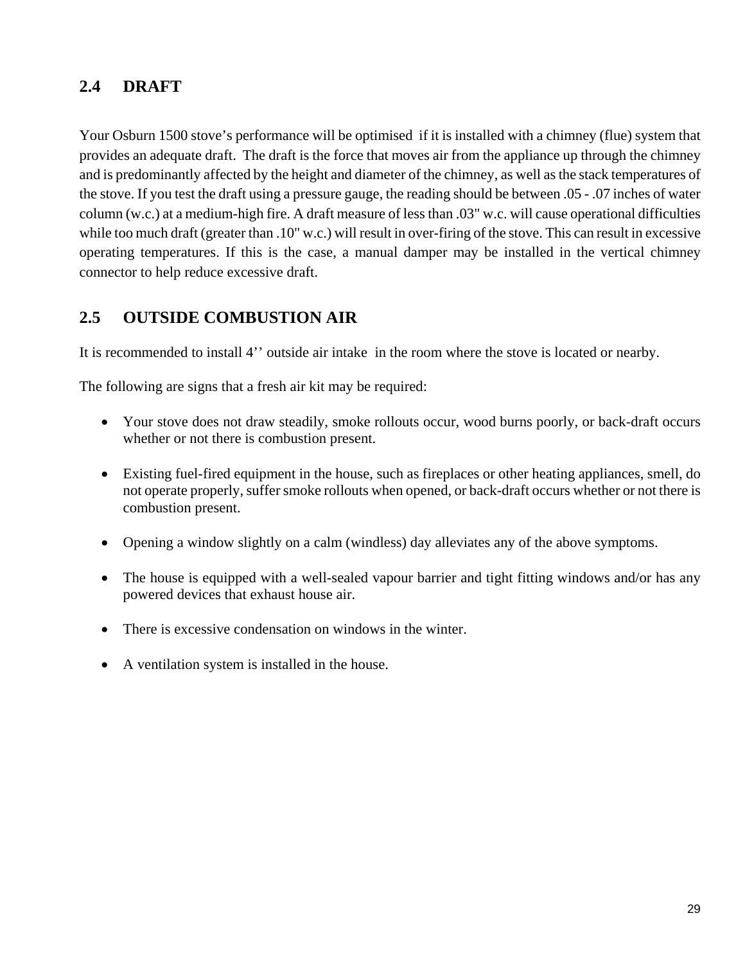## **2.4 DRAFT**

Your Osburn 1500 stove's performance will be optimised if it is installed with a chimney (flue) system that provides an adequate draft. The draft is the force that moves air from the appliance up through the chimney and is predominantly affected by the height and diameter of the chimney, as well as the stack temperatures of the stove. If you test the draft using a pressure gauge, the reading should be between .05 - .07 inches of water column (w.c.) at a medium-high fire. A draft measure of less than .03" w.c. will cause operational difficulties while too much draft (greater than .10" w.c.) will result in over-firing of the stove. This can result in excessive operating temperatures. If this is the case, a manual damper may be installed in the vertical chimney connector to help reduce excessive draft.

## **2.5 OUTSIDE COMBUSTION AIR**

It is recommended to install 4'' outside air intake in the room where the stove is located or nearby.

The following are signs that a fresh air kit may be required:

- Your stove does not draw steadily, smoke rollouts occur, wood burns poorly, or back-draft occurs whether or not there is combustion present.
- Existing fuel-fired equipment in the house, such as fireplaces or other heating appliances, smell, do not operate properly, suffer smoke rollouts when opened, or back-draft occurs whether or not there is combustion present.
- Opening a window slightly on a calm (windless) day alleviates any of the above symptoms.
- The house is equipped with a well-sealed vapour barrier and tight fitting windows and/or has any powered devices that exhaust house air.
- There is excessive condensation on windows in the winter.
- A ventilation system is installed in the house.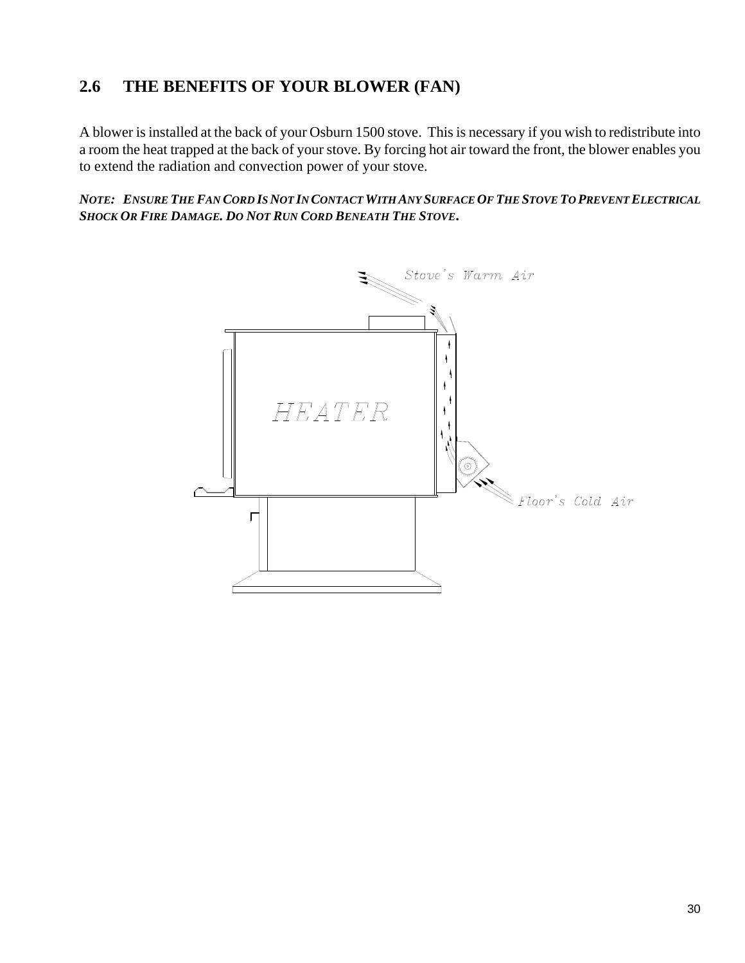# **2.6 THE BENEFITS OF YOUR BLOWER (FAN)**

A blower is installed at the back of your Osburn 1500 stove. This is necessary if you wish to redistribute into a room the heat trapped at the back of your stove. By forcing hot air toward the front, the blower enables you to extend the radiation and convection power of your stove.

*NOTE: ENSURE THE FAN CORD IS NOT IN CONTACT WITH ANY SURFACE OF THE STOVE TO PREVENT ELECTRICAL SHOCK OR FIRE DAMAGE. DO NOT RUN CORD BENEATH THE STOVE***.**

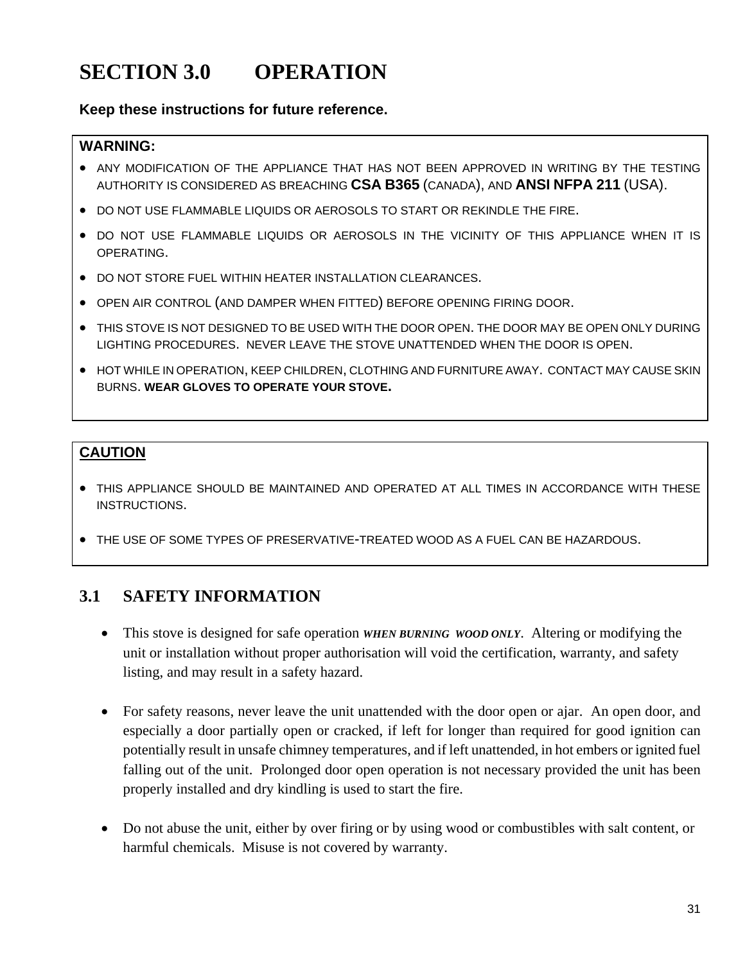# **SECTION 3.0 OPERATION**

#### **Keep these instructions for future reference.**

#### **WARNING:**

- ANY MODIFICATION OF THE APPLIANCE THAT HAS NOT BEEN APPROVED IN WRITING BY THE TESTING AUTHORITY IS CONSIDERED AS BREACHING **CSA B365** (CANADA), AND **ANSI NFPA 211** (USA).
- DO NOT USE FLAMMABLE LIQUIDS OR AEROSOLS TO START OR REKINDLE THE FIRE.
- . DO NOT USE FLAMMABLE LIQUIDS OR AEROSOLS IN THE VICINITY OF THIS APPLIANCE WHEN IT IS OPERATING.
- DO NOT STORE FUEL WITHIN HEATER INSTALLATION CLEARANCES.
- OPEN AIR CONTROL (AND DAMPER WHEN FITTED) BEFORE OPENING FIRING DOOR.
- THIS STOVE IS NOT DESIGNED TO BE USED WITH THE DOOR OPEN. THE DOOR MAY BE OPEN ONLY DURING LIGHTING PROCEDURES. NEVER LEAVE THE STOVE UNATTENDED WHEN THE DOOR IS OPEN.
- **HOT WHILE IN OPERATION, KEEP CHILDREN, CLOTHING AND FURNITURE AWAY. CONTACT MAY CAUSE SKIN** BURNS. **WEAR GLOVES TO OPERATE YOUR STOVE.**

## **CAUTION**

- THIS APPLIANCE SHOULD BE MAINTAINED AND OPERATED AT ALL TIMES IN ACCORDANCE WITH THESE INSTRUCTIONS.
- THE USE OF SOME TYPES OF PRESERVATIVE-TREATED WOOD AS A FUEL CAN BE HAZARDOUS.

# **3.1 SAFETY INFORMATION**

- This stove is designed for safe operation *WHEN BURNING WOOD ONLY*. Altering or modifying the unit or installation without proper authorisation will void the certification, warranty, and safety listing, and may result in a safety hazard.
- For safety reasons, never leave the unit unattended with the door open or ajar. An open door, and especially a door partially open or cracked, if left for longer than required for good ignition can potentially result in unsafe chimney temperatures, and if left unattended, in hot embers or ignited fuel falling out of the unit. Prolonged door open operation is not necessary provided the unit has been properly installed and dry kindling is used to start the fire.
- Do not abuse the unit, either by over firing or by using wood or combustibles with salt content, or harmful chemicals. Misuse is not covered by warranty.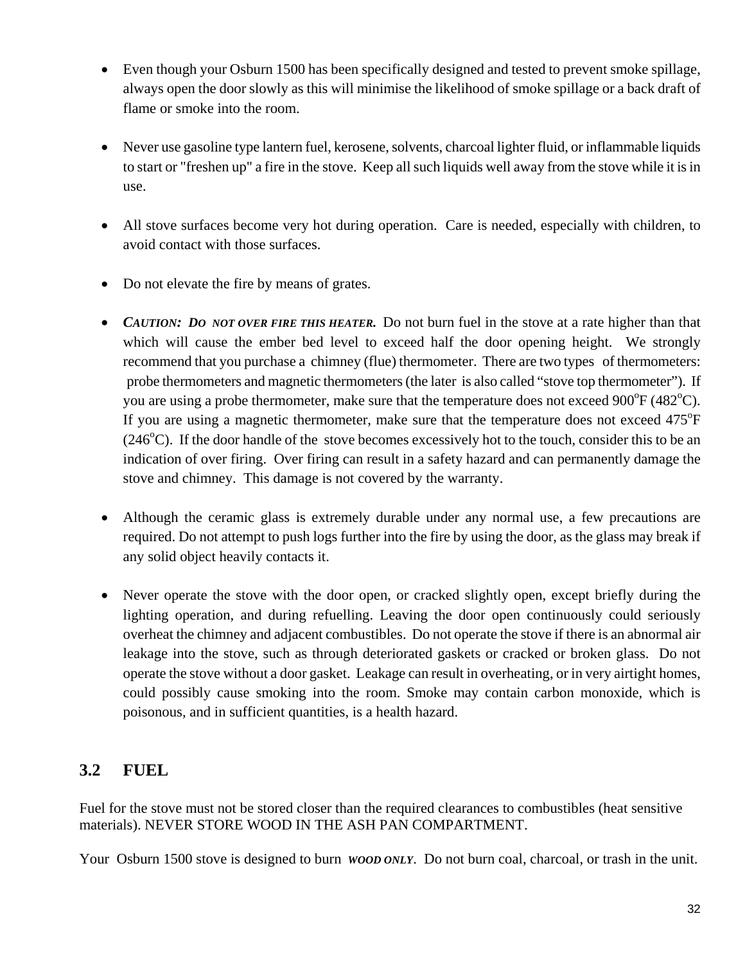- Even though your Osburn 1500 has been specifically designed and tested to prevent smoke spillage, always open the door slowly as this will minimise the likelihood of smoke spillage or a back draft of flame or smoke into the room.
- Never use gasoline type lantern fuel, kerosene, solvents, charcoal lighter fluid, or inflammable liquids to start or "freshen up" a fire in the stove. Keep all such liquids well away from the stove while it is in use.
- All stove surfaces become very hot during operation. Care is needed, especially with children, to avoid contact with those surfaces.
- Do not elevate the fire by means of grates.
- *CAUTION: DO NOT OVER FIRE THIS HEATER.* Do not burn fuel in the stove at a rate higher than that which will cause the ember bed level to exceed half the door opening height. We strongly recommend that you purchase a chimney (flue) thermometer. There are two types of thermometers: probe thermometers and magnetic thermometers (the later is also called "stove top thermometer"). If you are using a probe thermometer, make sure that the temperature does not exceed  $900^{\circ}F (482^{\circ}C)$ . If you are using a magnetic thermometer, make sure that the temperature does not exceed  $475^{\circ}$ F  $(246^{\circ}$ C). If the door handle of the stove becomes excessively hot to the touch, consider this to be an indication of over firing. Over firing can result in a safety hazard and can permanently damage the stove and chimney. This damage is not covered by the warranty.
- Although the ceramic glass is extremely durable under any normal use, a few precautions are required. Do not attempt to push logs further into the fire by using the door, as the glass may break if any solid object heavily contacts it.
- Never operate the stove with the door open, or cracked slightly open, except briefly during the lighting operation, and during refuelling. Leaving the door open continuously could seriously overheat the chimney and adjacent combustibles. Do not operate the stove if there is an abnormal air leakage into the stove, such as through deteriorated gaskets or cracked or broken glass. Do not operate the stove without a door gasket. Leakage can result in overheating, or in very airtight homes, could possibly cause smoking into the room. Smoke may contain carbon monoxide, which is poisonous, and in sufficient quantities, is a health hazard.

# **3.2 FUEL**

Fuel for the stove must not be stored closer than the required clearances to combustibles (heat sensitive materials). NEVER STORE WOOD IN THE ASH PAN COMPARTMENT.

Your Osburn 1500 stove is designed to burn *WOOD ONLY*. Do not burn coal, charcoal, or trash in the unit.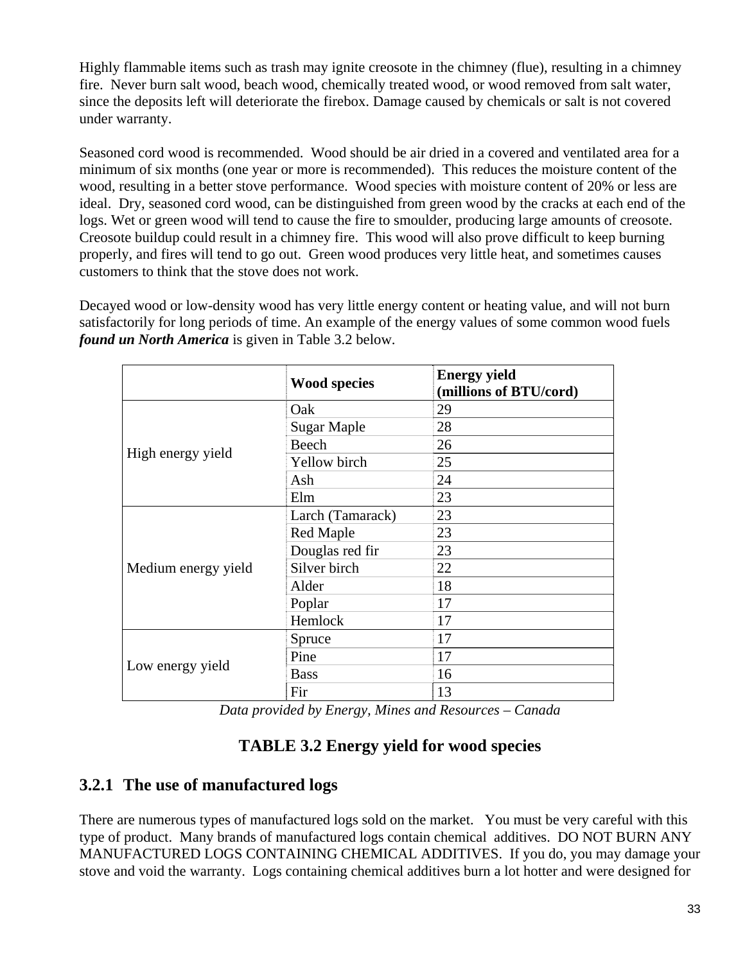Highly flammable items such as trash may ignite creosote in the chimney (flue), resulting in a chimney fire. Never burn salt wood, beach wood, chemically treated wood, or wood removed from salt water, since the deposits left will deteriorate the firebox. Damage caused by chemicals or salt is not covered under warranty.

Seasoned cord wood is recommended. Wood should be air dried in a covered and ventilated area for a minimum of six months (one year or more is recommended). This reduces the moisture content of the wood, resulting in a better stove performance. Wood species with moisture content of 20% or less are ideal. Dry, seasoned cord wood, can be distinguished from green wood by the cracks at each end of the logs. Wet or green wood will tend to cause the fire to smoulder, producing large amounts of creosote. Creosote buildup could result in a chimney fire. This wood will also prove difficult to keep burning properly, and fires will tend to go out. Green wood produces very little heat, and sometimes causes customers to think that the stove does not work.

Decayed wood or low-density wood has very little energy content or heating value, and will not burn satisfactorily for long periods of time. An example of the energy values of some common wood fuels *found un North America* is given in Table 3.2 below.

|                     | <b>Wood species</b> | <b>Energy yield</b><br>(millions of BTU/cord) |
|---------------------|---------------------|-----------------------------------------------|
|                     | Oak                 | 29                                            |
|                     | <b>Sugar Maple</b>  | 28                                            |
|                     | Beech               | 26                                            |
| High energy yield   | Yellow birch        | 25                                            |
|                     | Ash                 | 24                                            |
|                     | Elm                 | 23                                            |
|                     | Larch (Tamarack)    | 23                                            |
|                     | Red Maple           | 23                                            |
|                     | Douglas red fir     | 23                                            |
| Medium energy yield | Silver birch        | 22                                            |
|                     | Alder               | 18                                            |
|                     | Poplar              | 17                                            |
|                     | Hemlock             | 17                                            |
|                     | Spruce              | 17                                            |
|                     | Pine                | 17                                            |
| Low energy yield    | <b>Bass</b>         | 16                                            |
|                     | Fir                 | 13                                            |

*Data provided by Energy, Mines and Resources – Canada* 

## **TABLE 3.2 Energy yield for wood species**

## **3.2.1 The use of manufactured logs**

There are numerous types of manufactured logs sold on the market. You must be very careful with this type of product. Many brands of manufactured logs contain chemical additives. DO NOT BURN ANY MANUFACTURED LOGS CONTAINING CHEMICAL ADDITIVES. If you do, you may damage your stove and void the warranty. Logs containing chemical additives burn a lot hotter and were designed for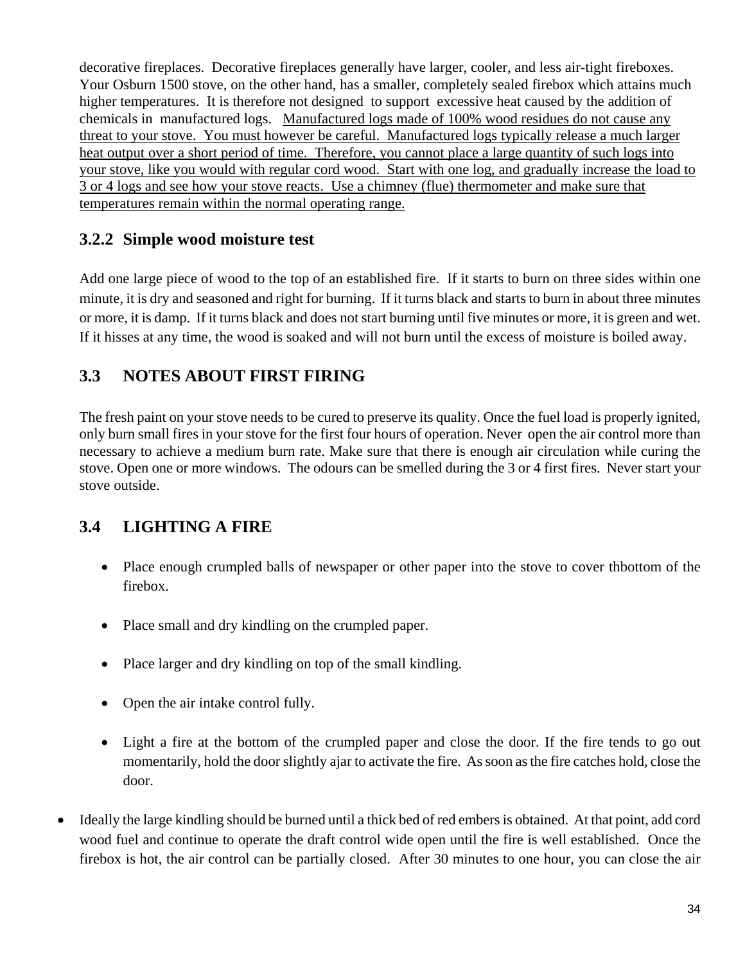decorative fireplaces. Decorative fireplaces generally have larger, cooler, and less air-tight fireboxes. Your Osburn 1500 stove, on the other hand, has a smaller, completely sealed firebox which attains much higher temperatures. It is therefore not designed to support excessive heat caused by the addition of chemicals in manufactured logs. Manufactured logs made of 100% wood residues do not cause any threat to your stove. You must however be careful. Manufactured logs typically release a much larger heat output over a short period of time. Therefore, you cannot place a large quantity of such logs into your stove, like you would with regular cord wood. Start with one log, and gradually increase the load to 3 or 4 logs and see how your stove reacts. Use a chimney (flue) thermometer and make sure that temperatures remain within the normal operating range.

## **3.2.2 Simple wood moisture test**

Add one large piece of wood to the top of an established fire. If it starts to burn on three sides within one minute, it is dry and seasoned and right for burning. If it turns black and starts to burn in about three minutes or more, it is damp. If it turns black and does not start burning until five minutes or more, it is green and wet. If it hisses at any time, the wood is soaked and will not burn until the excess of moisture is boiled away.

# **3.3 NOTES ABOUT FIRST FIRING**

The fresh paint on your stove needs to be cured to preserve its quality. Once the fuel load is properly ignited, only burn small fires in your stove for the first four hours of operation. Never open the air control more than necessary to achieve a medium burn rate. Make sure that there is enough air circulation while curing the stove. Open one or more windows. The odours can be smelled during the 3 or 4 first fires. Never start your stove outside.

# **3.4 LIGHTING A FIRE**

- Place enough crumpled balls of newspaper or other paper into the stove to cover the other of the firebox.
- Place small and dry kindling on the crumpled paper.
- Place larger and dry kindling on top of the small kindling.
- Open the air intake control fully.
- Light a fire at the bottom of the crumpled paper and close the door. If the fire tends to go out momentarily, hold the door slightly ajar to activate the fire. As soon as the fire catches hold, close the door.
- Ideally the large kindling should be burned until a thick bed of red embers is obtained. At that point, add cord wood fuel and continue to operate the draft control wide open until the fire is well established. Once the firebox is hot, the air control can be partially closed. After 30 minutes to one hour, you can close the air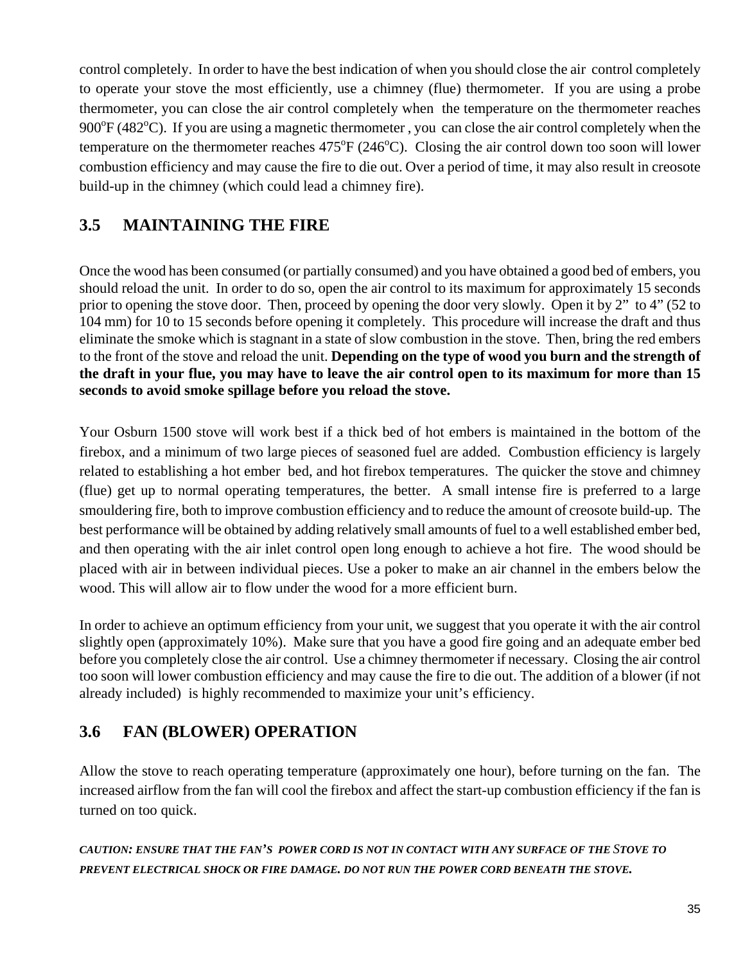control completely. In order to have the best indication of when you should close the air control completely to operate your stove the most efficiently, use a chimney (flue) thermometer. If you are using a probe thermometer, you can close the air control completely when the temperature on the thermometer reaches  $900^{\circ}$ F (482 $^{\circ}$ C). If you are using a magnetic thermometer, you can close the air control completely when the temperature on the thermometer reaches  $475^{\circ}F(246^{\circ}C)$ . Closing the air control down too soon will lower combustion efficiency and may cause the fire to die out. Over a period of time, it may also result in creosote build-up in the chimney (which could lead a chimney fire).

# **3.5 MAINTAINING THE FIRE**

Once the wood has been consumed (or partially consumed) and you have obtained a good bed of embers, you should reload the unit. In order to do so, open the air control to its maximum for approximately 15 seconds prior to opening the stove door. Then, proceed by opening the door very slowly. Open it by 2" to 4" (52 to 104 mm) for 10 to 15 seconds before opening it completely. This procedure will increase the draft and thus eliminate the smoke which is stagnant in a state of slow combustion in the stove. Then, bring the red embers to the front of the stove and reload the unit. **Depending on the type of wood you burn and the strength of the draft in your flue, you may have to leave the air control open to its maximum for more than 15 seconds to avoid smoke spillage before you reload the stove.** 

Your Osburn 1500 stove will work best if a thick bed of hot embers is maintained in the bottom of the firebox, and a minimum of two large pieces of seasoned fuel are added. Combustion efficiency is largely related to establishing a hot ember bed, and hot firebox temperatures. The quicker the stove and chimney (flue) get up to normal operating temperatures, the better. A small intense fire is preferred to a large smouldering fire, both to improve combustion efficiency and to reduce the amount of creosote build-up. The best performance will be obtained by adding relatively small amounts of fuel to a well established ember bed, and then operating with the air inlet control open long enough to achieve a hot fire. The wood should be placed with air in between individual pieces. Use a poker to make an air channel in the embers below the wood. This will allow air to flow under the wood for a more efficient burn.

In order to achieve an optimum efficiency from your unit, we suggest that you operate it with the air control slightly open (approximately 10%). Make sure that you have a good fire going and an adequate ember bed before you completely close the air control. Use a chimney thermometer if necessary. Closing the air control too soon will lower combustion efficiency and may cause the fire to die out. The addition of a blower (if not already included) is highly recommended to maximize your unit's efficiency.

# **3.6 FAN (BLOWER) OPERATION**

Allow the stove to reach operating temperature (approximately one hour), before turning on the fan. The increased airflow from the fan will cool the firebox and affect the start-up combustion efficiency if the fan is turned on too quick.

*CAUTION: ENSURE THAT THE FAN'S POWER CORD IS NOT IN CONTACT WITH ANY SURFACE OF THE STOVE TO PREVENT ELECTRICAL SHOCK OR FIRE DAMAGE. DO NOT RUN THE POWER CORD BENEATH THE STOVE.*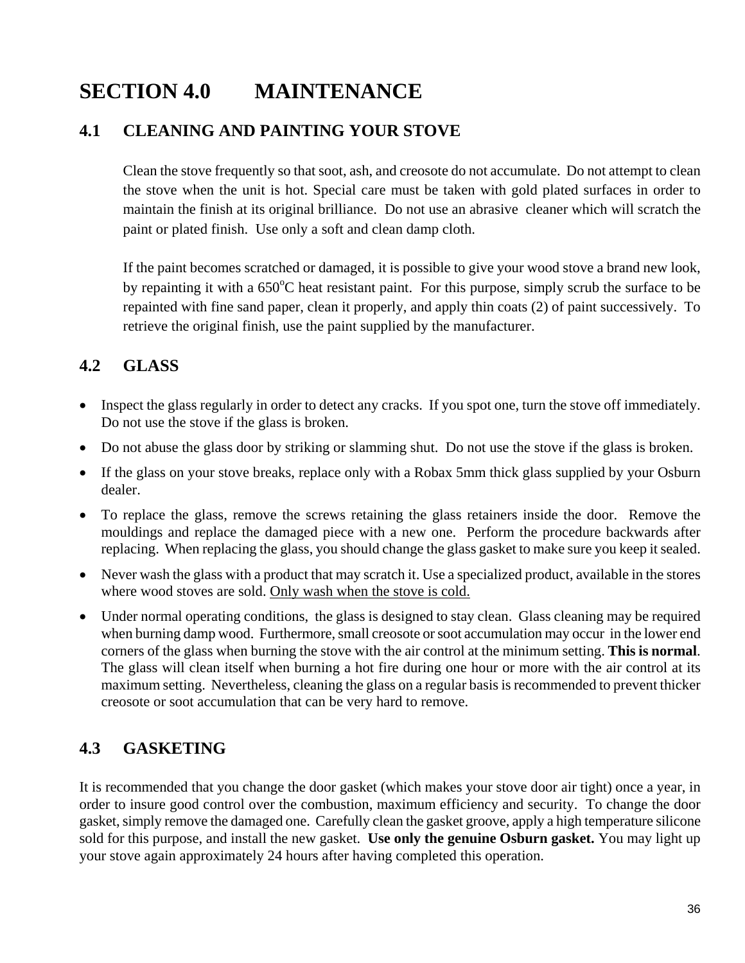# **SECTION 4.0 MAINTENANCE**

## **4.1 CLEANING AND PAINTING YOUR STOVE**

Clean the stove frequently so that soot, ash, and creosote do not accumulate. Do not attempt to clean the stove when the unit is hot. Special care must be taken with gold plated surfaces in order to maintain the finish at its original brilliance. Do not use an abrasive cleaner which will scratch the paint or plated finish. Use only a soft and clean damp cloth.

If the paint becomes scratched or damaged, it is possible to give your wood stove a brand new look, by repainting it with a 650°C heat resistant paint. For this purpose, simply scrub the surface to be repainted with fine sand paper, clean it properly, and apply thin coats (2) of paint successively. To retrieve the original finish, use the paint supplied by the manufacturer.

## **4.2 GLASS**

- Inspect the glass regularly in order to detect any cracks. If you spot one, turn the stove off immediately. Do not use the stove if the glass is broken.
- Do not abuse the glass door by striking or slamming shut. Do not use the stove if the glass is broken.
- If the glass on your stove breaks, replace only with a Robax 5mm thick glass supplied by your Osburn dealer.
- To replace the glass, remove the screws retaining the glass retainers inside the door. Remove the mouldings and replace the damaged piece with a new one. Perform the procedure backwards after replacing. When replacing the glass, you should change the glass gasket to make sure you keep it sealed.
- Never wash the glass with a product that may scratch it. Use a specialized product, available in the stores where wood stoves are sold. Only wash when the stove is cold.
- Under normal operating conditions, the glass is designed to stay clean. Glass cleaning may be required when burning damp wood. Furthermore, small creosote or soot accumulation may occur in the lower end corners of the glass when burning the stove with the air control at the minimum setting. **This is normal**. The glass will clean itself when burning a hot fire during one hour or more with the air control at its maximum setting. Nevertheless, cleaning the glass on a regular basis is recommended to prevent thicker creosote or soot accumulation that can be very hard to remove.

## **4.3 GASKETING**

It is recommended that you change the door gasket (which makes your stove door air tight) once a year, in order to insure good control over the combustion, maximum efficiency and security. To change the door gasket, simply remove the damaged one. Carefully clean the gasket groove, apply a high temperature silicone sold for this purpose, and install the new gasket. **Use only the genuine Osburn gasket.** You may light up your stove again approximately 24 hours after having completed this operation.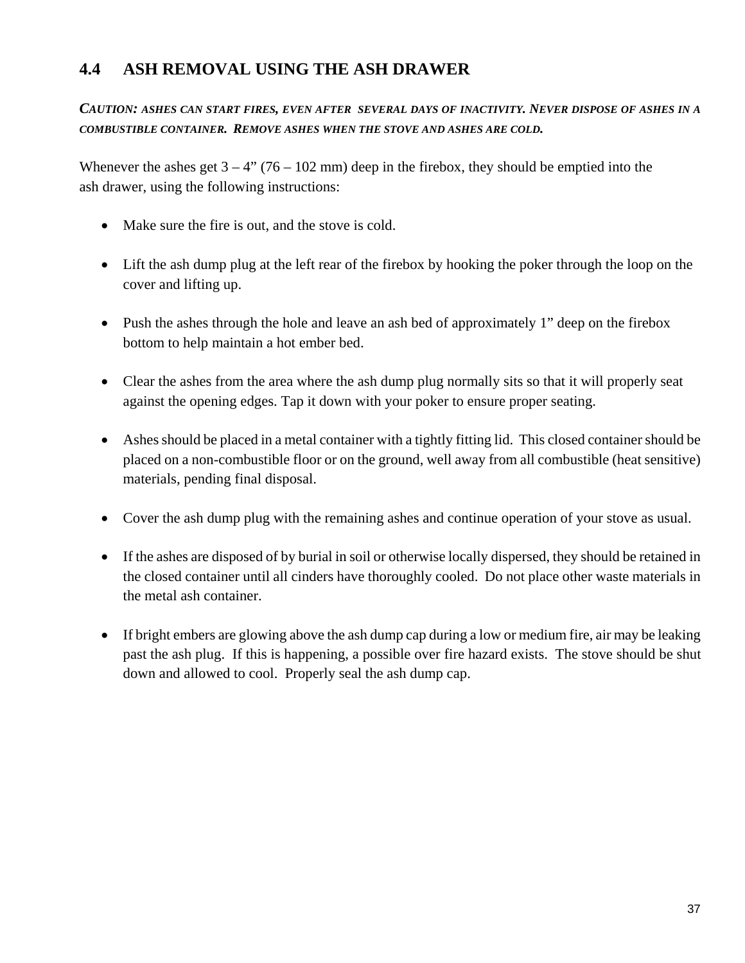## **4.4 ASH REMOVAL USING THE ASH DRAWER**

#### *CAUTION: ASHES CAN START FIRES, EVEN AFTER SEVERAL DAYS OF INACTIVITY. NEVER DISPOSE OF ASHES IN A COMBUSTIBLE CONTAINER. REMOVE ASHES WHEN THE STOVE AND ASHES ARE COLD.*

Whenever the ashes get  $3 - 4$ " (76 – 102 mm) deep in the firebox, they should be emptied into the ash drawer, using the following instructions:

- Make sure the fire is out, and the stove is cold.
- Lift the ash dump plug at the left rear of the firebox by hooking the poker through the loop on the cover and lifting up.
- Push the ashes through the hole and leave an ash bed of approximately 1" deep on the firebox bottom to help maintain a hot ember bed.
- Clear the ashes from the area where the ash dump plug normally sits so that it will properly seat against the opening edges. Tap it down with your poker to ensure proper seating.
- Ashes should be placed in a metal container with a tightly fitting lid. This closed container should be placed on a non-combustible floor or on the ground, well away from all combustible (heat sensitive) materials, pending final disposal.
- Cover the ash dump plug with the remaining ashes and continue operation of your stove as usual.
- If the ashes are disposed of by burial in soil or otherwise locally dispersed, they should be retained in the closed container until all cinders have thoroughly cooled. Do not place other waste materials in the metal ash container.
- If bright embers are glowing above the ash dump cap during a low or medium fire, air may be leaking past the ash plug. If this is happening, a possible over fire hazard exists. The stove should be shut down and allowed to cool. Properly seal the ash dump cap.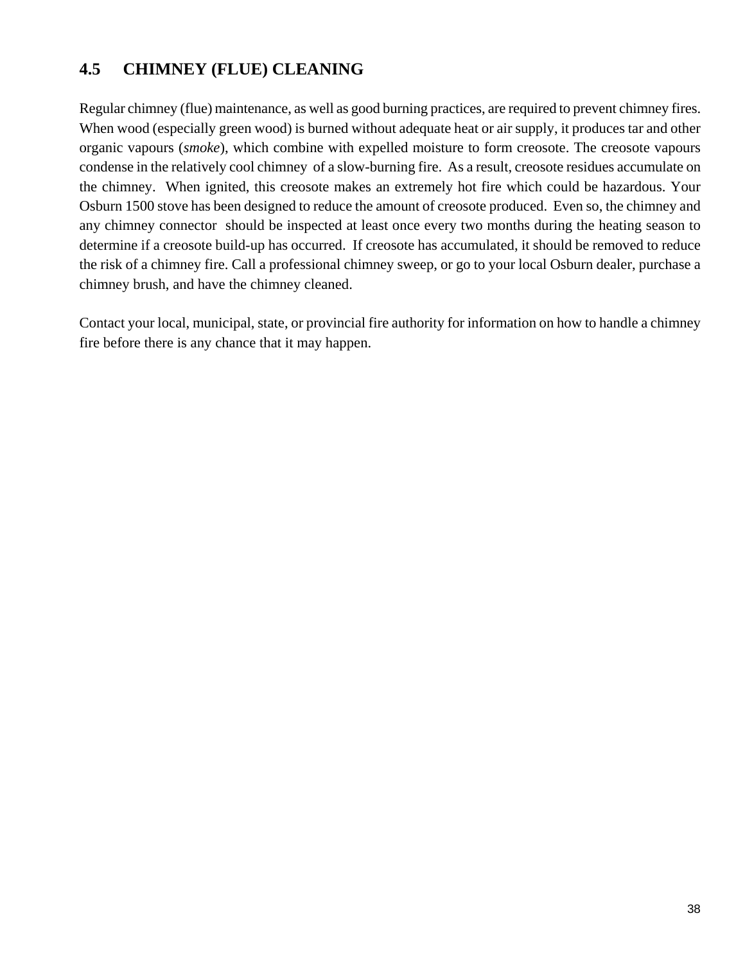# **4.5 CHIMNEY (FLUE) CLEANING**

Regular chimney (flue) maintenance, as well as good burning practices, are required to prevent chimney fires. When wood (especially green wood) is burned without adequate heat or air supply, it produces tar and other organic vapours (*smoke*), which combine with expelled moisture to form creosote. The creosote vapours condense in the relatively cool chimney of a slow-burning fire. As a result, creosote residues accumulate on the chimney. When ignited, this creosote makes an extremely hot fire which could be hazardous. Your Osburn 1500 stove has been designed to reduce the amount of creosote produced. Even so, the chimney and any chimney connector should be inspected at least once every two months during the heating season to determine if a creosote build-up has occurred. If creosote has accumulated, it should be removed to reduce the risk of a chimney fire. Call a professional chimney sweep, or go to your local Osburn dealer, purchase a chimney brush, and have the chimney cleaned.

Contact your local, municipal, state, or provincial fire authority for information on how to handle a chimney fire before there is any chance that it may happen.